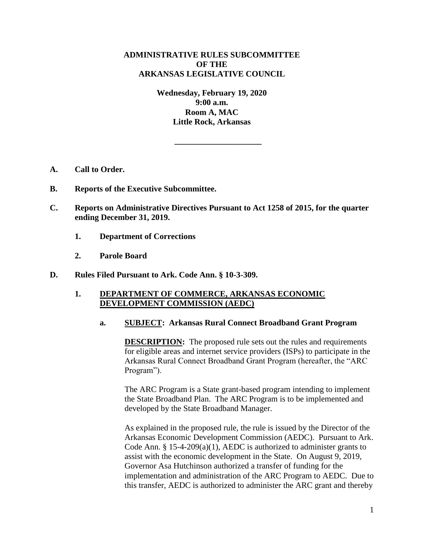# **ADMINISTRATIVE RULES SUBCOMMITTEE OF THE ARKANSAS LEGISLATIVE COUNCIL**

**Wednesday, February 19, 2020 9:00 a.m. Room A, MAC Little Rock, Arkansas**

**\_\_\_\_\_\_\_\_\_\_\_\_\_\_\_\_\_\_\_\_\_**

- **A. Call to Order.**
- **B. Reports of the Executive Subcommittee.**
- **C. Reports on Administrative Directives Pursuant to Act 1258 of 2015, for the quarter ending December 31, 2019.**
	- **1. Department of Corrections**
	- **2. Parole Board**
- **D. Rules Filed Pursuant to Ark. Code Ann. § 10-3-309.**

## **1. DEPARTMENT OF COMMERCE, ARKANSAS ECONOMIC DEVELOPMENT COMMISSION (AEDC)**

### **a. SUBJECT: Arkansas Rural Connect Broadband Grant Program**

**DESCRIPTION:** The proposed rule sets out the rules and requirements for eligible areas and internet service providers (ISPs) to participate in the Arkansas Rural Connect Broadband Grant Program (hereafter, the "ARC Program").

The ARC Program is a State grant-based program intending to implement the State Broadband Plan. The ARC Program is to be implemented and developed by the State Broadband Manager.

As explained in the proposed rule, the rule is issued by the Director of the Arkansas Economic Development Commission (AEDC). Pursuant to Ark. Code Ann. § 15-4-209(a)(1), AEDC is authorized to administer grants to assist with the economic development in the State. On August 9, 2019, Governor Asa Hutchinson authorized a transfer of funding for the implementation and administration of the ARC Program to AEDC. Due to this transfer, AEDC is authorized to administer the ARC grant and thereby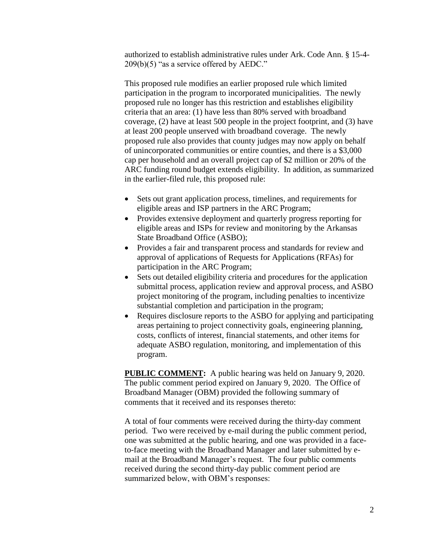authorized to establish administrative rules under Ark. Code Ann. § 15-4- 209(b)(5) "as a service offered by AEDC."

This proposed rule modifies an earlier proposed rule which limited participation in the program to incorporated municipalities. The newly proposed rule no longer has this restriction and establishes eligibility criteria that an area: (1) have less than 80% served with broadband coverage, (2) have at least 500 people in the project footprint, and (3) have at least 200 people unserved with broadband coverage. The newly proposed rule also provides that county judges may now apply on behalf of unincorporated communities or entire counties, and there is a \$3,000 cap per household and an overall project cap of \$2 million or 20% of the ARC funding round budget extends eligibility. In addition, as summarized in the earlier-filed rule, this proposed rule:

- Sets out grant application process, timelines, and requirements for eligible areas and ISP partners in the ARC Program;
- Provides extensive deployment and quarterly progress reporting for eligible areas and ISPs for review and monitoring by the Arkansas State Broadband Office (ASBO);
- Provides a fair and transparent process and standards for review and approval of applications of Requests for Applications (RFAs) for participation in the ARC Program;
- Sets out detailed eligibility criteria and procedures for the application submittal process, application review and approval process, and ASBO project monitoring of the program, including penalties to incentivize substantial completion and participation in the program;
- Requires disclosure reports to the ASBO for applying and participating areas pertaining to project connectivity goals, engineering planning, costs, conflicts of interest, financial statements, and other items for adequate ASBO regulation, monitoring, and implementation of this program.

**PUBLIC COMMENT:** A public hearing was held on January 9, 2020. The public comment period expired on January 9, 2020. The Office of Broadband Manager (OBM) provided the following summary of comments that it received and its responses thereto:

A total of four comments were received during the thirty-day comment period. Two were received by e-mail during the public comment period, one was submitted at the public hearing, and one was provided in a faceto-face meeting with the Broadband Manager and later submitted by email at the Broadband Manager's request. The four public comments received during the second thirty-day public comment period are summarized below, with OBM's responses: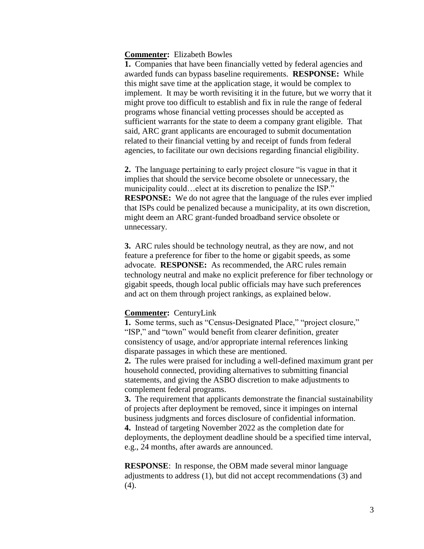#### **Commenter:** Elizabeth Bowles

**1.** Companies that have been financially vetted by federal agencies and awarded funds can bypass baseline requirements. **RESPONSE:** While this might save time at the application stage, it would be complex to implement. It may be worth revisiting it in the future, but we worry that it might prove too difficult to establish and fix in rule the range of federal programs whose financial vetting processes should be accepted as sufficient warrants for the state to deem a company grant eligible. That said, ARC grant applicants are encouraged to submit documentation related to their financial vetting by and receipt of funds from federal agencies, to facilitate our own decisions regarding financial eligibility.

**2.** The language pertaining to early project closure "is vague in that it implies that should the service become obsolete or unnecessary, the municipality could…elect at its discretion to penalize the ISP." **RESPONSE:** We do not agree that the language of the rules ever implied that ISPs could be penalized because a municipality, at its own discretion, might deem an ARC grant-funded broadband service obsolete or unnecessary.

**3.** ARC rules should be technology neutral, as they are now, and not feature a preference for fiber to the home or gigabit speeds, as some advocate. **RESPONSE:** As recommended, the ARC rules remain technology neutral and make no explicit preference for fiber technology or gigabit speeds, though local public officials may have such preferences and act on them through project rankings, as explained below.

### **Commenter:** CenturyLink

**1.** Some terms, such as "Census-Designated Place," "project closure," "ISP," and "town" would benefit from clearer definition, greater consistency of usage, and/or appropriate internal references linking disparate passages in which these are mentioned.

**2.** The rules were praised for including a well-defined maximum grant per household connected, providing alternatives to submitting financial statements, and giving the ASBO discretion to make adjustments to complement federal programs.

**3.** The requirement that applicants demonstrate the financial sustainability of projects after deployment be removed, since it impinges on internal business judgments and forces disclosure of confidential information. **4.** Instead of targeting November 2022 as the completion date for

deployments, the deployment deadline should be a specified time interval, e.g., 24 months, after awards are announced.

**RESPONSE**: In response, the OBM made several minor language adjustments to address (1), but did not accept recommendations (3) and (4).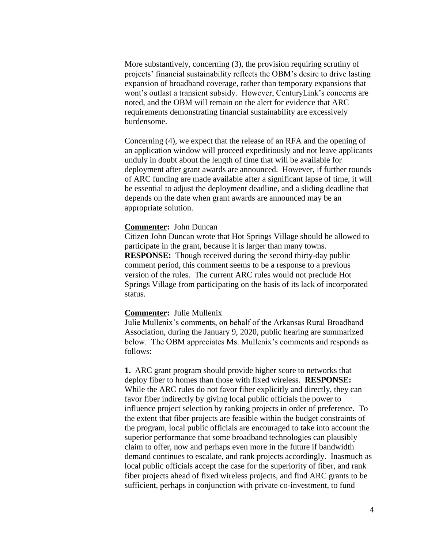More substantively, concerning (3), the provision requiring scrutiny of projects' financial sustainability reflects the OBM's desire to drive lasting expansion of broadband coverage, rather than temporary expansions that wont's outlast a transient subsidy. However, CenturyLink's concerns are noted, and the OBM will remain on the alert for evidence that ARC requirements demonstrating financial sustainability are excessively burdensome.

Concerning (4), we expect that the release of an RFA and the opening of an application window will proceed expeditiously and not leave applicants unduly in doubt about the length of time that will be available for deployment after grant awards are announced. However, if further rounds of ARC funding are made available after a significant lapse of time, it will be essential to adjust the deployment deadline, and a sliding deadline that depends on the date when grant awards are announced may be an appropriate solution.

#### **Commenter:** John Duncan

Citizen John Duncan wrote that Hot Springs Village should be allowed to participate in the grant, because it is larger than many towns. **RESPONSE:** Though received during the second thirty-day public comment period, this comment seems to be a response to a previous version of the rules. The current ARC rules would not preclude Hot Springs Village from participating on the basis of its lack of incorporated status.

#### **Commenter:** Julie Mullenix

Julie Mullenix's comments, on behalf of the Arkansas Rural Broadband Association, during the January 9, 2020, public hearing are summarized below. The OBM appreciates Ms. Mullenix's comments and responds as follows:

**1.** ARC grant program should provide higher score to networks that deploy fiber to homes than those with fixed wireless. **RESPONSE:**  While the ARC rules do not favor fiber explicitly and directly, they can favor fiber indirectly by giving local public officials the power to influence project selection by ranking projects in order of preference. To the extent that fiber projects are feasible within the budget constraints of the program, local public officials are encouraged to take into account the superior performance that some broadband technologies can plausibly claim to offer, now and perhaps even more in the future if bandwidth demand continues to escalate, and rank projects accordingly. Inasmuch as local public officials accept the case for the superiority of fiber, and rank fiber projects ahead of fixed wireless projects, and find ARC grants to be sufficient, perhaps in conjunction with private co-investment, to fund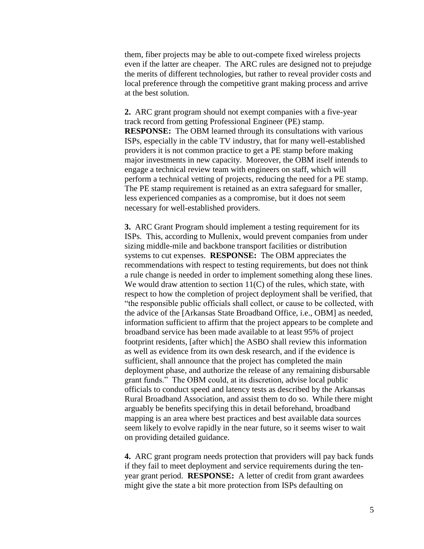them, fiber projects may be able to out-compete fixed wireless projects even if the latter are cheaper. The ARC rules are designed not to prejudge the merits of different technologies, but rather to reveal provider costs and local preference through the competitive grant making process and arrive at the best solution.

**2.** ARC grant program should not exempt companies with a five-year track record from getting Professional Engineer (PE) stamp. **RESPONSE:** The OBM learned through its consultations with various ISPs, especially in the cable TV industry, that for many well-established providers it is not common practice to get a PE stamp before making major investments in new capacity. Moreover, the OBM itself intends to engage a technical review team with engineers on staff, which will perform a technical vetting of projects, reducing the need for a PE stamp. The PE stamp requirement is retained as an extra safeguard for smaller, less experienced companies as a compromise, but it does not seem necessary for well-established providers.

**3.** ARC Grant Program should implement a testing requirement for its ISPs. This, according to Mullenix, would prevent companies from under sizing middle-mile and backbone transport facilities or distribution systems to cut expenses. **RESPONSE:** The OBM appreciates the recommendations with respect to testing requirements, but does not think a rule change is needed in order to implement something along these lines. We would draw attention to section  $11(C)$  of the rules, which state, with respect to how the completion of project deployment shall be verified, that "the responsible public officials shall collect, or cause to be collected, with the advice of the [Arkansas State Broadband Office, i.e., OBM] as needed, information sufficient to affirm that the project appears to be complete and broadband service has been made available to at least 95% of project footprint residents, [after which] the ASBO shall review this information as well as evidence from its own desk research, and if the evidence is sufficient, shall announce that the project has completed the main deployment phase, and authorize the release of any remaining disbursable grant funds." The OBM could, at its discretion, advise local public officials to conduct speed and latency tests as described by the Arkansas Rural Broadband Association, and assist them to do so. While there might arguably be benefits specifying this in detail beforehand, broadband mapping is an area where best practices and best available data sources seem likely to evolve rapidly in the near future, so it seems wiser to wait on providing detailed guidance.

**4.** ARC grant program needs protection that providers will pay back funds if they fail to meet deployment and service requirements during the tenyear grant period. **RESPONSE:** A letter of credit from grant awardees might give the state a bit more protection from ISPs defaulting on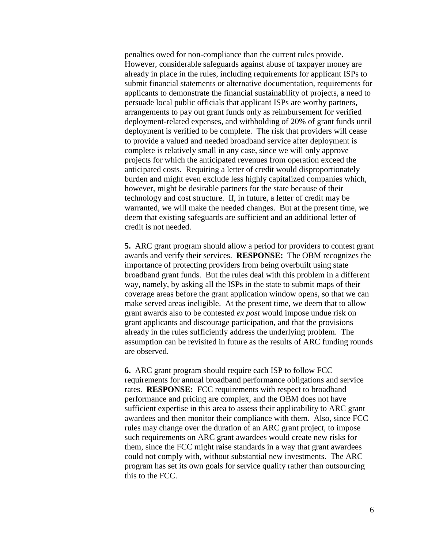penalties owed for non-compliance than the current rules provide. However, considerable safeguards against abuse of taxpayer money are already in place in the rules, including requirements for applicant ISPs to submit financial statements or alternative documentation, requirements for applicants to demonstrate the financial sustainability of projects, a need to persuade local public officials that applicant ISPs are worthy partners, arrangements to pay out grant funds only as reimbursement for verified deployment-related expenses, and withholding of 20% of grant funds until deployment is verified to be complete. The risk that providers will cease to provide a valued and needed broadband service after deployment is complete is relatively small in any case, since we will only approve projects for which the anticipated revenues from operation exceed the anticipated costs. Requiring a letter of credit would disproportionately burden and might even exclude less highly capitalized companies which, however, might be desirable partners for the state because of their technology and cost structure. If, in future, a letter of credit may be warranted, we will make the needed changes. But at the present time, we deem that existing safeguards are sufficient and an additional letter of credit is not needed.

**5.** ARC grant program should allow a period for providers to contest grant awards and verify their services. **RESPONSE:** The OBM recognizes the importance of protecting providers from being overbuilt using state broadband grant funds. But the rules deal with this problem in a different way, namely, by asking all the ISPs in the state to submit maps of their coverage areas before the grant application window opens, so that we can make served areas ineligible. At the present time, we deem that to allow grant awards also to be contested *ex post* would impose undue risk on grant applicants and discourage participation, and that the provisions already in the rules sufficiently address the underlying problem. The assumption can be revisited in future as the results of ARC funding rounds are observed.

**6.** ARC grant program should require each ISP to follow FCC requirements for annual broadband performance obligations and service rates. **RESPONSE:** FCC requirements with respect to broadband performance and pricing are complex, and the OBM does not have sufficient expertise in this area to assess their applicability to ARC grant awardees and then monitor their compliance with them. Also, since FCC rules may change over the duration of an ARC grant project, to impose such requirements on ARC grant awardees would create new risks for them, since the FCC might raise standards in a way that grant awardees could not comply with, without substantial new investments. The ARC program has set its own goals for service quality rather than outsourcing this to the FCC.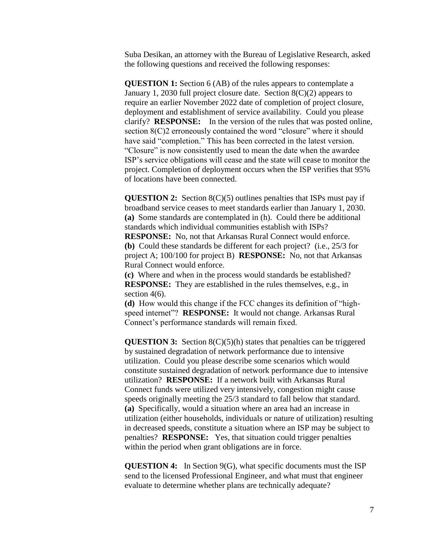Suba Desikan, an attorney with the Bureau of Legislative Research, asked the following questions and received the following responses:

**QUESTION 1:** Section 6 (AB) of the rules appears to contemplate a January 1, 2030 full project closure date. Section  $8(C)(2)$  appears to require an earlier November 2022 date of completion of project closure, deployment and establishment of service availability. Could you please clarify? **RESPONSE:** In the version of the rules that was posted online, section 8(C)2 erroneously contained the word "closure" where it should have said "completion." This has been corrected in the latest version. "Closure" is now consistently used to mean the date when the awardee ISP's service obligations will cease and the state will cease to monitor the project. Completion of deployment occurs when the ISP verifies that 95% of locations have been connected.

**QUESTION 2:** Section 8(C)(5) outlines penalties that ISPs must pay if broadband service ceases to meet standards earlier than January 1, 2030. **(a)** Some standards are contemplated in (h). Could there be additional standards which individual communities establish with ISPs? **RESPONSE:** No, not that Arkansas Rural Connect would enforce. **(b)** Could these standards be different for each project? (i.e., 25/3 for project A; 100/100 for project B) **RESPONSE:** No, not that Arkansas Rural Connect would enforce.

**(c)** Where and when in the process would standards be established? **RESPONSE:** They are established in the rules themselves, e.g., in section 4(6).

**(d)** How would this change if the FCC changes its definition of "highspeed internet"? **RESPONSE:** It would not change. Arkansas Rural Connect's performance standards will remain fixed.

**QUESTION 3:** Section 8(C)(5)(h) states that penalties can be triggered by sustained degradation of network performance due to intensive utilization. Could you please describe some scenarios which would constitute sustained degradation of network performance due to intensive utilization? **RESPONSE:** If a network built with Arkansas Rural Connect funds were utilized very intensively, congestion might cause speeds originally meeting the 25/3 standard to fall below that standard. **(a)** Specifically, would a situation where an area had an increase in utilization (either households, individuals or nature of utilization) resulting in decreased speeds, constitute a situation where an ISP may be subject to penalties? **RESPONSE:** Yes, that situation could trigger penalties within the period when grant obligations are in force.

**QUESTION 4:** In Section 9(G), what specific documents must the ISP send to the licensed Professional Engineer, and what must that engineer evaluate to determine whether plans are technically adequate?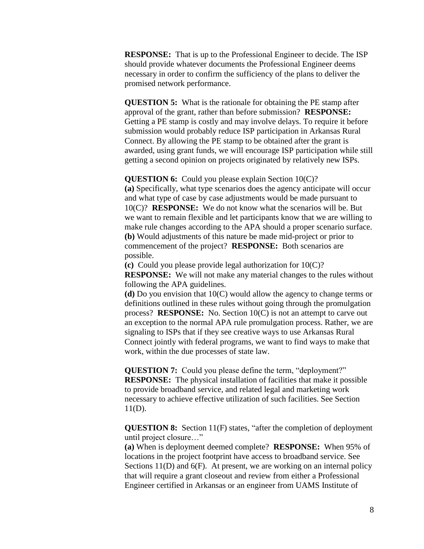**RESPONSE:** That is up to the Professional Engineer to decide. The ISP should provide whatever documents the Professional Engineer deems necessary in order to confirm the sufficiency of the plans to deliver the promised network performance.

**QUESTION 5:** What is the rationale for obtaining the PE stamp after approval of the grant, rather than before submission? **RESPONSE:** Getting a PE stamp is costly and may involve delays. To require it before submission would probably reduce ISP participation in Arkansas Rural Connect. By allowing the PE stamp to be obtained after the grant is awarded, using grant funds, we will encourage ISP participation while still getting a second opinion on projects originated by relatively new ISPs.

**QUESTION 6:** Could you please explain Section 10(C)?

**(a)** Specifically, what type scenarios does the agency anticipate will occur and what type of case by case adjustments would be made pursuant to 10(C)? **RESPONSE:** We do not know what the scenarios will be. But we want to remain flexible and let participants know that we are willing to make rule changes according to the APA should a proper scenario surface. **(b)** Would adjustments of this nature be made mid-project or prior to commencement of the project? **RESPONSE:** Both scenarios are possible.

**(c)** Could you please provide legal authorization for 10(C)? **RESPONSE:** We will not make any material changes to the rules without following the APA guidelines.

**(d)** Do you envision that 10(C) would allow the agency to change terms or definitions outlined in these rules without going through the promulgation process? **RESPONSE:** No. Section 10(C) is not an attempt to carve out an exception to the normal APA rule promulgation process. Rather, we are signaling to ISPs that if they see creative ways to use Arkansas Rural Connect jointly with federal programs, we want to find ways to make that work, within the due processes of state law.

**QUESTION 7:** Could you please define the term, "deployment?" **RESPONSE:** The physical installation of facilities that make it possible to provide broadband service, and related legal and marketing work necessary to achieve effective utilization of such facilities. See Section 11(D).

**QUESTION 8:** Section 11(F) states, "after the completion of deployment until project closure…"

**(a)** When is deployment deemed complete? **RESPONSE:** When 95% of locations in the project footprint have access to broadband service. See Sections 11(D) and 6(F). At present, we are working on an internal policy that will require a grant closeout and review from either a Professional Engineer certified in Arkansas or an engineer from UAMS Institute of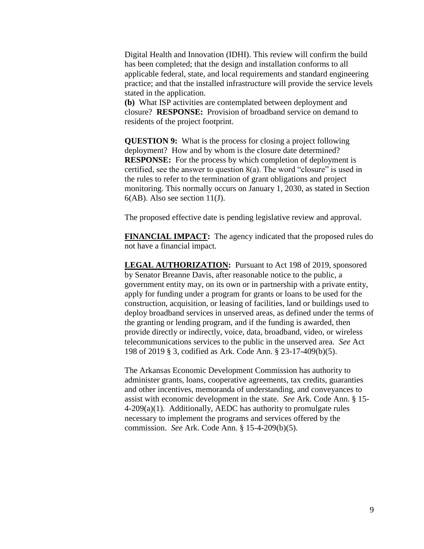Digital Health and Innovation (IDHI). This review will confirm the build has been completed; that the design and installation conforms to all applicable federal, state, and local requirements and standard engineering practice; and that the installed infrastructure will provide the service levels stated in the application.

**(b)** What ISP activities are contemplated between deployment and closure? **RESPONSE:** Provision of broadband service on demand to residents of the project footprint.

**QUESTION 9:** What is the process for closing a project following deployment? How and by whom is the closure date determined? **RESPONSE:** For the process by which completion of deployment is certified, see the answer to question  $8(a)$ . The word "closure" is used in the rules to refer to the termination of grant obligations and project monitoring. This normally occurs on January 1, 2030, as stated in Section  $6(AB)$ . Also see section 11(J).

The proposed effective date is pending legislative review and approval.

**FINANCIAL IMPACT:** The agency indicated that the proposed rules do not have a financial impact.

**LEGAL AUTHORIZATION:** Pursuant to Act 198 of 2019, sponsored by Senator Breanne Davis, after reasonable notice to the public, a government entity may, on its own or in partnership with a private entity, apply for funding under a program for grants or loans to be used for the construction, acquisition, or leasing of facilities, land or buildings used to deploy broadband services in unserved areas, as defined under the terms of the granting or lending program, and if the funding is awarded, then provide directly or indirectly, voice, data, broadband, video, or wireless telecommunications services to the public in the unserved area. *See* Act 198 of 2019 § 3, codified as Ark. Code Ann. § 23-17-409(b)(5).

The Arkansas Economic Development Commission has authority to administer grants, loans, cooperative agreements, tax credits, guaranties and other incentives, memoranda of understanding, and conveyances to assist with economic development in the state. *See* Ark. Code Ann. § 15- 4-209(a)(1). Additionally, AEDC has authority to promulgate rules necessary to implement the programs and services offered by the commission. *See* Ark. Code Ann. § 15-4-209(b)(5).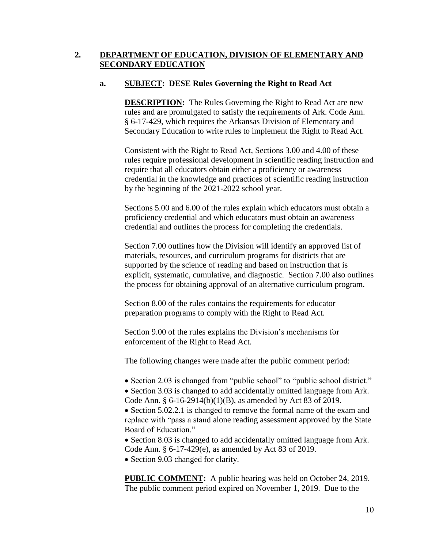# **2. DEPARTMENT OF EDUCATION, DIVISION OF ELEMENTARY AND SECONDARY EDUCATION**

## **a. SUBJECT: DESE Rules Governing the Right to Read Act**

**DESCRIPTION:** The Rules Governing the Right to Read Act are new rules and are promulgated to satisfy the requirements of Ark. Code Ann. § 6-17-429, which requires the Arkansas Division of Elementary and Secondary Education to write rules to implement the Right to Read Act.

Consistent with the Right to Read Act, Sections 3.00 and 4.00 of these rules require professional development in scientific reading instruction and require that all educators obtain either a proficiency or awareness credential in the knowledge and practices of scientific reading instruction by the beginning of the 2021-2022 school year.

Sections 5.00 and 6.00 of the rules explain which educators must obtain a proficiency credential and which educators must obtain an awareness credential and outlines the process for completing the credentials.

Section 7.00 outlines how the Division will identify an approved list of materials, resources, and curriculum programs for districts that are supported by the science of reading and based on instruction that is explicit, systematic, cumulative, and diagnostic. Section 7.00 also outlines the process for obtaining approval of an alternative curriculum program.

Section 8.00 of the rules contains the requirements for educator preparation programs to comply with the Right to Read Act.

Section 9.00 of the rules explains the Division's mechanisms for enforcement of the Right to Read Act.

The following changes were made after the public comment period:

• Section 2.03 is changed from "public school" to "public school district."

• Section 3.03 is changed to add accidentally omitted language from Ark. Code Ann. § 6-16-2914(b)(1)(B), as amended by Act 83 of 2019.

• Section 5.02.2.1 is changed to remove the formal name of the exam and replace with "pass a stand alone reading assessment approved by the State Board of Education."

• Section 8.03 is changed to add accidentally omitted language from Ark. Code Ann. § 6-17-429(e), as amended by Act 83 of 2019.

• Section 9.03 changed for clarity.

**PUBLIC COMMENT:** A public hearing was held on October 24, 2019. The public comment period expired on November 1, 2019. Due to the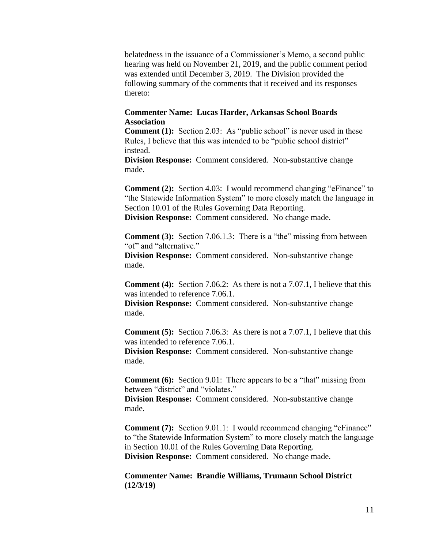belatedness in the issuance of a Commissioner's Memo, a second public hearing was held on November 21, 2019, and the public comment period was extended until December 3, 2019. The Division provided the following summary of the comments that it received and its responses thereto:

## **Commenter Name: Lucas Harder, Arkansas School Boards Association**

**Comment (1):** Section 2.03: As "public school" is never used in these Rules, I believe that this was intended to be "public school district" instead.

**Division Response:** Comment considered. Non-substantive change made.

**Comment (2):** Section 4.03: I would recommend changing "eFinance" to "the Statewide Information System" to more closely match the language in Section 10.01 of the Rules Governing Data Reporting. **Division Response:** Comment considered. No change made.

**Comment (3):** Section 7.06.1.3: There is a "the" missing from between "of" and "alternative."

**Division Response:** Comment considered. Non-substantive change made.

**Comment (4):** Section 7.06.2: As there is not a 7.07.1, I believe that this was intended to reference 7.06.1.

**Division Response:** Comment considered. Non-substantive change made.

**Comment (5):** Section 7.06.3: As there is not a 7.07.1, I believe that this was intended to reference 7.06.1.

**Division Response:** Comment considered. Non-substantive change made.

**Comment (6):** Section 9.01: There appears to be a "that" missing from between "district" and "violates."

**Division Response:** Comment considered. Non-substantive change made.

**Comment (7):** Section 9.01.1: I would recommend changing "eFinance" to "the Statewide Information System" to more closely match the language in Section 10.01 of the Rules Governing Data Reporting. **Division Response:** Comment considered. No change made.

**Commenter Name: Brandie Williams, Trumann School District (12/3/19)**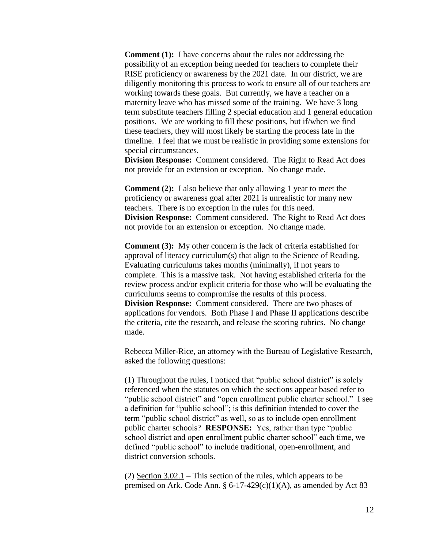**Comment (1):** I have concerns about the rules not addressing the possibility of an exception being needed for teachers to complete their RISE proficiency or awareness by the 2021 date. In our district, we are diligently monitoring this process to work to ensure all of our teachers are working towards these goals. But currently, we have a teacher on a maternity leave who has missed some of the training. We have 3 long term substitute teachers filling 2 special education and 1 general education positions. We are working to fill these positions, but if/when we find these teachers, they will most likely be starting the process late in the timeline. I feel that we must be realistic in providing some extensions for special circumstances.

**Division Response:** Comment considered. The Right to Read Act does not provide for an extension or exception. No change made.

**Comment (2):** I also believe that only allowing 1 year to meet the proficiency or awareness goal after 2021 is unrealistic for many new teachers. There is no exception in the rules for this need. **Division Response:** Comment considered. The Right to Read Act does not provide for an extension or exception. No change made.

**Comment (3):** My other concern is the lack of criteria established for approval of literacy curriculum(s) that align to the Science of Reading. Evaluating curriculums takes months (minimally), if not years to complete. This is a massive task. Not having established criteria for the review process and/or explicit criteria for those who will be evaluating the curriculums seems to compromise the results of this process. **Division Response:** Comment considered. There are two phases of applications for vendors. Both Phase I and Phase II applications describe the criteria, cite the research, and release the scoring rubrics. No change made.

Rebecca Miller-Rice, an attorney with the Bureau of Legislative Research, asked the following questions:

(1) Throughout the rules, I noticed that "public school district" is solely referenced when the statutes on which the sections appear based refer to "public school district" and "open enrollment public charter school." I see a definition for "public school"; is this definition intended to cover the term "public school district" as well, so as to include open enrollment public charter schools? **RESPONSE:** Yes, rather than type "public school district and open enrollment public charter school" each time, we defined "public school" to include traditional, open-enrollment, and district conversion schools.

(2) Section 3.02.1 – This section of the rules, which appears to be premised on Ark. Code Ann.  $\S 6-17-429(c)(1)(A)$ , as amended by Act 83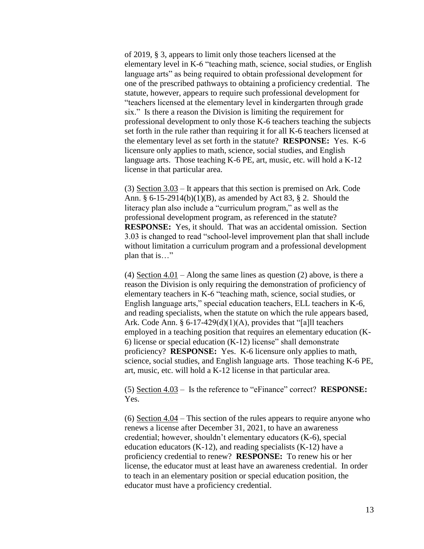of 2019, § 3, appears to limit only those teachers licensed at the elementary level in K-6 "teaching math, science, social studies, or English language arts" as being required to obtain professional development for one of the prescribed pathways to obtaining a proficiency credential. The statute, however, appears to require such professional development for "teachers licensed at the elementary level in kindergarten through grade six." Is there a reason the Division is limiting the requirement for professional development to only those K-6 teachers teaching the subjects set forth in the rule rather than requiring it for all K-6 teachers licensed at the elementary level as set forth in the statute? **RESPONSE:** Yes. K-6 licensure only applies to math, science, social studies, and English language arts. Those teaching K-6 PE, art, music, etc. will hold a K-12 license in that particular area.

(3) Section 3.03 – It appears that this section is premised on Ark. Code Ann. § 6-15-2914(b)(1)(B), as amended by Act 83, § 2. Should the literacy plan also include a "curriculum program," as well as the professional development program, as referenced in the statute? **RESPONSE:** Yes, it should. That was an accidental omission. Section 3.03 is changed to read "school-level improvement plan that shall include without limitation a curriculum program and a professional development plan that is…"

(4) Section 4.01 – Along the same lines as question (2) above, is there a reason the Division is only requiring the demonstration of proficiency of elementary teachers in K-6 "teaching math, science, social studies, or English language arts," special education teachers, ELL teachers in K-6, and reading specialists, when the statute on which the rule appears based, Ark. Code Ann. §  $6-17-429(d)(1)(A)$ , provides that "[a]ll teachers employed in a teaching position that requires an elementary education (K-6) license or special education (K-12) license" shall demonstrate proficiency? **RESPONSE:** Yes. K-6 licensure only applies to math, science, social studies, and English language arts. Those teaching K-6 PE, art, music, etc. will hold a K-12 license in that particular area.

(5) Section 4.03 – Is the reference to "eFinance" correct? **RESPONSE:** Yes.

(6) Section 4.04 – This section of the rules appears to require anyone who renews a license after December 31, 2021, to have an awareness credential; however, shouldn't elementary educators (K-6), special education educators  $(K-12)$ , and reading specialists  $(K-12)$  have a proficiency credential to renew? **RESPONSE:** To renew his or her license, the educator must at least have an awareness credential. In order to teach in an elementary position or special education position, the educator must have a proficiency credential.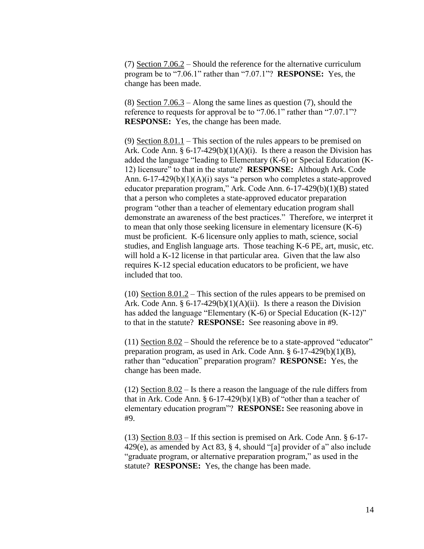(7) Section 7.06.2 – Should the reference for the alternative curriculum program be to "7.06.1" rather than "7.07.1"? **RESPONSE:** Yes, the change has been made.

(8) Section 7.06.3 – Along the same lines as question (7), should the reference to requests for approval be to "7.06.1" rather than "7.07.1"? **RESPONSE:** Yes, the change has been made.

(9) Section 8.01.1 – This section of the rules appears to be premised on Ark. Code Ann.  $\S 6-17-429(b)(1)(A)(i)$ . Is there a reason the Division has added the language "leading to Elementary (K-6) or Special Education (K-12) licensure" to that in the statute? **RESPONSE:** Although Ark. Code Ann. 6-17-429(b)(1)(A)(i) says "a person who completes a state-approved educator preparation program," Ark. Code Ann. 6-17-429(b)(1)(B) stated that a person who completes a state-approved educator preparation program "other than a teacher of elementary education program shall demonstrate an awareness of the best practices." Therefore, we interpret it to mean that only those seeking licensure in elementary licensure (K-6) must be proficient. K-6 licensure only applies to math, science, social studies, and English language arts. Those teaching K-6 PE, art, music, etc. will hold a K-12 license in that particular area. Given that the law also requires K-12 special education educators to be proficient, we have included that too.

(10) Section 8.01.2 – This section of the rules appears to be premised on Ark. Code Ann.  $\S 6-17-429(b)(1)(A)(ii)$ . Is there a reason the Division has added the language "Elementary (K-6) or Special Education (K-12)" to that in the statute? **RESPONSE:** See reasoning above in #9.

(11) Section 8.02 – Should the reference be to a state-approved "educator" preparation program, as used in Ark. Code Ann. § 6-17-429(b)(1)(B), rather than "education" preparation program? **RESPONSE:** Yes, the change has been made.

(12) Section 8.02 – Is there a reason the language of the rule differs from that in Ark. Code Ann.  $\S 6-17-429(b)(1)(B)$  of "other than a teacher of elementary education program"? **RESPONSE:** See reasoning above in #9.

(13) Section 8.03 – If this section is premised on Ark. Code Ann. § 6-17- 429(e), as amended by Act 83, § 4, should "[a] provider of a" also include "graduate program, or alternative preparation program," as used in the statute? **RESPONSE:** Yes, the change has been made.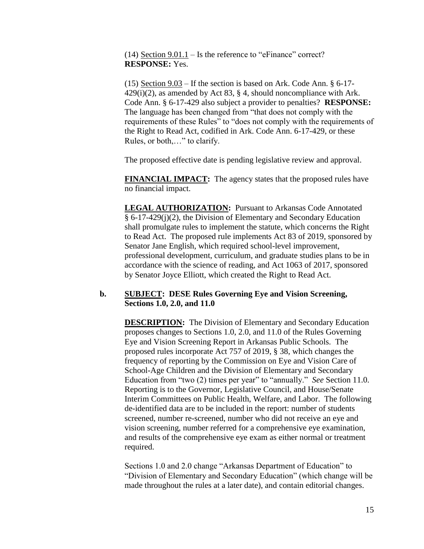(14) Section  $9.01.1 -$  Is the reference to "eFinance" correct? **RESPONSE:** Yes.

(15) Section 9.03 – If the section is based on Ark. Code Ann. § 6-17-  $429(i)(2)$ , as amended by Act 83, § 4, should noncompliance with Ark. Code Ann. § 6-17-429 also subject a provider to penalties? **RESPONSE:** The language has been changed from "that does not comply with the requirements of these Rules" to "does not comply with the requirements of the Right to Read Act, codified in Ark. Code Ann. 6-17-429, or these Rules, or both,…" to clarify.

The proposed effective date is pending legislative review and approval.

**FINANCIAL IMPACT:** The agency states that the proposed rules have no financial impact.

**LEGAL AUTHORIZATION:** Pursuant to Arkansas Code Annotated § 6-17-429(j)(2), the Division of Elementary and Secondary Education shall promulgate rules to implement the statute, which concerns the Right to Read Act. The proposed rule implements Act 83 of 2019, sponsored by Senator Jane English, which required school-level improvement, professional development, curriculum, and graduate studies plans to be in accordance with the science of reading, and Act 1063 of 2017, sponsored by Senator Joyce Elliott, which created the Right to Read Act.

### **b. SUBJECT: DESE Rules Governing Eye and Vision Screening, Sections 1.0, 2.0, and 11.0**

**DESCRIPTION:** The Division of Elementary and Secondary Education proposes changes to Sections 1.0, 2.0, and 11.0 of the Rules Governing Eye and Vision Screening Report in Arkansas Public Schools. The proposed rules incorporate Act 757 of 2019, § 38, which changes the frequency of reporting by the Commission on Eye and Vision Care of School-Age Children and the Division of Elementary and Secondary Education from "two (2) times per year" to "annually." *See* Section 11.0. Reporting is to the Governor, Legislative Council, and House/Senate Interim Committees on Public Health, Welfare, and Labor. The following de-identified data are to be included in the report: number of students screened, number re-screened, number who did not receive an eye and vision screening, number referred for a comprehensive eye examination, and results of the comprehensive eye exam as either normal or treatment required.

Sections 1.0 and 2.0 change "Arkansas Department of Education" to "Division of Elementary and Secondary Education" (which change will be made throughout the rules at a later date), and contain editorial changes.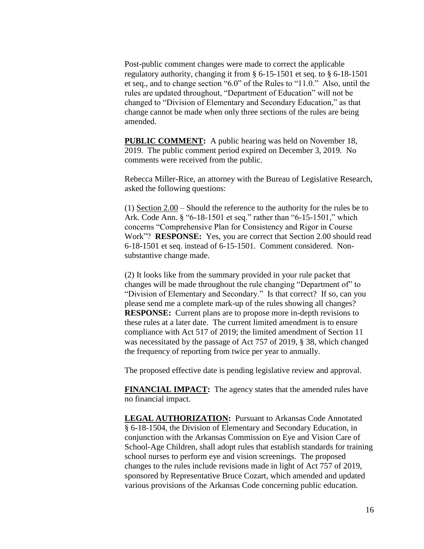Post-public comment changes were made to correct the applicable regulatory authority, changing it from § 6-15-1501 et seq. to § 6-18-1501 et seq., and to change section "6.0" of the Rules to "11.0." Also, until the rules are updated throughout, "Department of Education" will not be changed to "Division of Elementary and Secondary Education," as that change cannot be made when only three sections of the rules are being amended.

**PUBLIC COMMENT:** A public hearing was held on November 18, 2019. The public comment period expired on December 3, 2019. No comments were received from the public.

Rebecca Miller-Rice, an attorney with the Bureau of Legislative Research, asked the following questions:

(1) Section 2.00 – Should the reference to the authority for the rules be to Ark. Code Ann. § "6-18-1501 et seq." rather than "6-15-1501," which concerns "Comprehensive Plan for Consistency and Rigor in Course Work"? **RESPONSE:** Yes, you are correct that Section 2.00 should read 6-18-1501 et seq. instead of 6-15-1501. Comment considered. Nonsubstantive change made.

(2) It looks like from the summary provided in your rule packet that changes will be made throughout the rule changing "Department of" to "Division of Elementary and Secondary." Is that correct? If so, can you please send me a complete mark-up of the rules showing all changes? **RESPONSE:** Current plans are to propose more in-depth revisions to these rules at a later date. The current limited amendment is to ensure compliance with Act 517 of 2019; the limited amendment of Section 11 was necessitated by the passage of Act 757 of 2019, § 38, which changed the frequency of reporting from twice per year to annually.

The proposed effective date is pending legislative review and approval.

**FINANCIAL IMPACT:** The agency states that the amended rules have no financial impact.

**LEGAL AUTHORIZATION:** Pursuant to Arkansas Code Annotated § 6-18-1504, the Division of Elementary and Secondary Education, in conjunction with the Arkansas Commission on Eye and Vision Care of School-Age Children, shall adopt rules that establish standards for training school nurses to perform eye and vision screenings. The proposed changes to the rules include revisions made in light of Act 757 of 2019, sponsored by Representative Bruce Cozart, which amended and updated various provisions of the Arkansas Code concerning public education.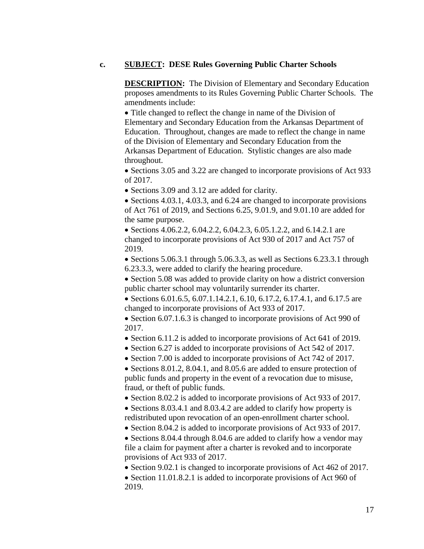### **c. SUBJECT: DESE Rules Governing Public Charter Schools**

**DESCRIPTION:** The Division of Elementary and Secondary Education proposes amendments to its Rules Governing Public Charter Schools. The amendments include:

• Title changed to reflect the change in name of the Division of Elementary and Secondary Education from the Arkansas Department of Education. Throughout, changes are made to reflect the change in name of the Division of Elementary and Secondary Education from the Arkansas Department of Education. Stylistic changes are also made throughout.

 Sections 3.05 and 3.22 are changed to incorporate provisions of Act 933 of 2017.

• Sections 3.09 and 3.12 are added for clarity.

• Sections 4.03.1, 4.03.3, and 6.24 are changed to incorporate provisions of Act 761 of 2019, and Sections 6.25, 9.01.9, and 9.01.10 are added for the same purpose.

• Sections 4.06.2.2, 6.04.2.2, 6.04.2.3, 6.05.1.2.2, and 6.14.2.1 are changed to incorporate provisions of Act 930 of 2017 and Act 757 of 2019.

• Sections 5.06.3.1 through 5.06.3.3, as well as Sections 6.23.3.1 through 6.23.3.3, were added to clarify the hearing procedure.

• Section 5.08 was added to provide clarity on how a district conversion public charter school may voluntarily surrender its charter.

• Sections 6.01.6.5, 6.07.1.14.2.1, 6.10, 6.17.2, 6.17.4.1, and 6.17.5 are changed to incorporate provisions of Act 933 of 2017.

• Section 6.07.1.6.3 is changed to incorporate provisions of Act 990 of 2017.

• Section 6.11.2 is added to incorporate provisions of Act 641 of 2019.

• Section 6.27 is added to incorporate provisions of Act 542 of 2017.

• Section 7.00 is added to incorporate provisions of Act 742 of 2017.

• Sections 8.01.2, 8.04.1, and 8.05.6 are added to ensure protection of public funds and property in the event of a revocation due to misuse, fraud, or theft of public funds.

• Section 8.02.2 is added to incorporate provisions of Act 933 of 2017.

• Sections 8.03.4.1 and 8.03.4.2 are added to clarify how property is redistributed upon revocation of an open-enrollment charter school.

• Section 8.04.2 is added to incorporate provisions of Act 933 of 2017.

• Sections 8.04.4 through 8.04.6 are added to clarify how a vendor may file a claim for payment after a charter is revoked and to incorporate provisions of Act 933 of 2017.

• Section 9.02.1 is changed to incorporate provisions of Act 462 of 2017.

• Section 11.01.8.2.1 is added to incorporate provisions of Act 960 of 2019.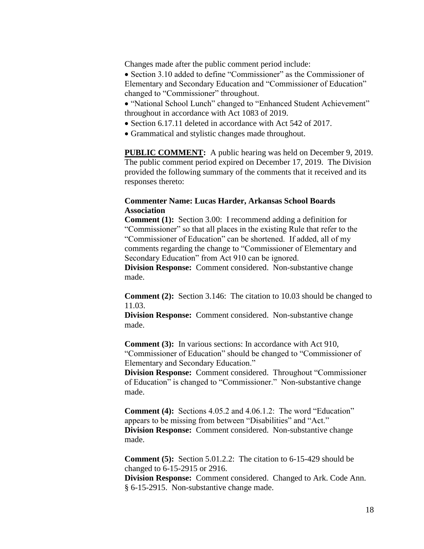Changes made after the public comment period include:

• Section 3.10 added to define "Commissioner" as the Commissioner of Elementary and Secondary Education and "Commissioner of Education" changed to "Commissioner" throughout.

- "National School Lunch" changed to "Enhanced Student Achievement" throughout in accordance with Act 1083 of 2019.
- Section 6.17.11 deleted in accordance with Act 542 of 2017.
- Grammatical and stylistic changes made throughout.

**PUBLIC COMMENT:** A public hearing was held on December 9, 2019. The public comment period expired on December 17, 2019. The Division provided the following summary of the comments that it received and its responses thereto:

## **Commenter Name: Lucas Harder, Arkansas School Boards Association**

**Comment (1):** Section 3.00: I recommend adding a definition for "Commissioner" so that all places in the existing Rule that refer to the "Commissioner of Education" can be shortened. If added, all of my comments regarding the change to "Commissioner of Elementary and Secondary Education" from Act 910 can be ignored.

**Division Response:** Comment considered. Non-substantive change made.

**Comment (2):** Section 3.146: The citation to 10.03 should be changed to 11.03.

**Division Response:** Comment considered. Non-substantive change made.

**Comment (3):** In various sections: In accordance with Act 910, "Commissioner of Education" should be changed to "Commissioner of Elementary and Secondary Education."

**Division Response:** Comment considered. Throughout "Commissioner of Education" is changed to "Commissioner." Non-substantive change made.

**Comment (4):** Sections 4.05.2 and 4.06.1.2: The word "Education" appears to be missing from between "Disabilities" and "Act." **Division Response:** Comment considered. Non-substantive change made.

**Comment (5):** Section 5.01.2.2: The citation to 6-15-429 should be changed to 6-15-2915 or 2916.

**Division Response:** Comment considered. Changed to Ark. Code Ann. § 6-15-2915. Non-substantive change made.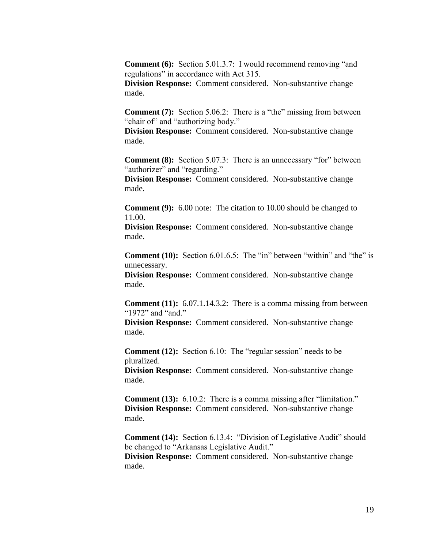**Comment (6):** Section 5.01.3.7: I would recommend removing "and regulations" in accordance with Act 315.

**Division Response:** Comment considered. Non-substantive change made.

**Comment (7):** Section 5.06.2: There is a "the" missing from between "chair of" and "authorizing body."

**Division Response:** Comment considered. Non-substantive change made.

**Comment (8):** Section 5.07.3: There is an unnecessary "for" between "authorizer" and "regarding."

**Division Response:** Comment considered. Non-substantive change made.

**Comment (9):** 6.00 note: The citation to 10.00 should be changed to 11.00.

**Division Response:** Comment considered. Non-substantive change made.

**Comment (10):** Section 6.01.6.5: The "in" between "within" and "the" is unnecessary.

**Division Response:** Comment considered. Non-substantive change made.

**Comment (11):** 6.07.1.14.3.2: There is a comma missing from between "1972" and "and."

**Division Response:** Comment considered. Non-substantive change made.

**Comment (12):** Section 6.10: The "regular session" needs to be pluralized.

**Division Response:** Comment considered. Non-substantive change made.

**Comment (13):** 6.10.2: There is a comma missing after "limitation." **Division Response:** Comment considered. Non-substantive change made.

**Comment (14):** Section 6.13.4: "Division of Legislative Audit" should be changed to "Arkansas Legislative Audit." **Division Response:** Comment considered. Non-substantive change made.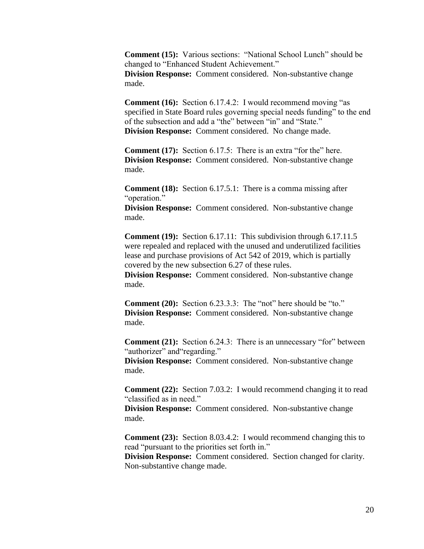**Comment (15):** Various sections: "National School Lunch" should be changed to "Enhanced Student Achievement." **Division Response:** Comment considered. Non-substantive change made.

**Comment (16):** Section 6.17.4.2: I would recommend moving "as specified in State Board rules governing special needs funding" to the end of the subsection and add a "the" between "in" and "State." **Division Response:** Comment considered. No change made.

**Comment (17):** Section 6.17.5: There is an extra "for the" here. **Division Response:** Comment considered. Non-substantive change made.

**Comment (18):** Section 6.17.5.1: There is a comma missing after "operation."

**Division Response:** Comment considered. Non-substantive change made.

**Comment (19):** Section 6.17.11: This subdivision through 6.17.11.5 were repealed and replaced with the unused and underutilized facilities lease and purchase provisions of Act 542 of 2019, which is partially covered by the new subsection 6.27 of these rules.

**Division Response:** Comment considered. Non-substantive change made.

**Comment (20):** Section 6.23.3.3: The "not" here should be "to." **Division Response:** Comment considered. Non-substantive change made.

**Comment (21):** Section 6.24.3: There is an unnecessary "for" between "authorizer" and "regarding."

**Division Response:** Comment considered. Non-substantive change made.

**Comment (22):** Section 7.03.2: I would recommend changing it to read "classified as in need."

**Division Response:** Comment considered. Non-substantive change made.

**Comment (23):** Section 8.03.4.2: I would recommend changing this to read "pursuant to the priorities set forth in."

**Division Response:** Comment considered. Section changed for clarity. Non-substantive change made.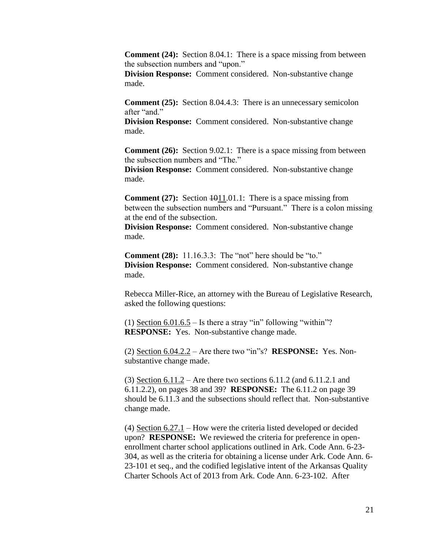**Comment (24):** Section 8.04.1: There is a space missing from between the subsection numbers and "upon."

**Division Response:** Comment considered. Non-substantive change made.

**Comment (25):** Section 8.04.4.3: There is an unnecessary semicolon after "and."

**Division Response:** Comment considered. Non-substantive change made.

**Comment (26):** Section 9.02.1: There is a space missing from between the subsection numbers and "The."

**Division Response:** Comment considered. Non-substantive change made.

**Comment (27):** Section  $\text{+011.01.1:}$  There is a space missing from between the subsection numbers and "Pursuant." There is a colon missing at the end of the subsection.

**Division Response:** Comment considered. Non-substantive change made.

**Comment (28):** 11.16.3.3: The "not" here should be "to." **Division Response:** Comment considered. Non-substantive change made.

Rebecca Miller-Rice, an attorney with the Bureau of Legislative Research, asked the following questions:

(1) Section  $6.01.6.5 -$  Is there a stray "in" following "within"? **RESPONSE:** Yes. Non-substantive change made.

(2) Section 6.04.2.2 – Are there two "in"s? **RESPONSE:** Yes. Nonsubstantive change made.

(3) Section 6.11.2 – Are there two sections 6.11.2 (and 6.11.2.1 and 6.11.2.2), on pages 38 and 39? **RESPONSE:** The 6.11.2 on page 39 should be 6.11.3 and the subsections should reflect that. Non-substantive change made.

(4) Section 6.27.1 – How were the criteria listed developed or decided upon? **RESPONSE:** We reviewed the criteria for preference in openenrollment charter school applications outlined in Ark. Code Ann. 6-23- 304, as well as the criteria for obtaining a license under Ark. Code Ann. 6- 23-101 et seq., and the codified legislative intent of the Arkansas Quality Charter Schools Act of 2013 from Ark. Code Ann. 6-23-102. After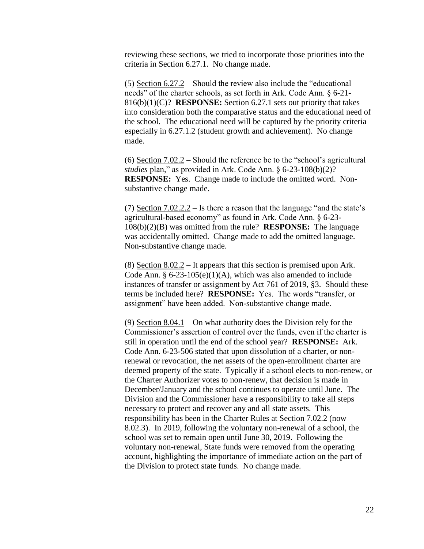reviewing these sections, we tried to incorporate those priorities into the criteria in Section 6.27.1. No change made.

(5) Section  $6.27.2$  – Should the review also include the "educational" needs" of the charter schools, as set forth in Ark. Code Ann. § 6-21- 816(b)(1)(C)? **RESPONSE:** Section 6.27.1 sets out priority that takes into consideration both the comparative status and the educational need of the school. The educational need will be captured by the priority criteria especially in 6.27.1.2 (student growth and achievement). No change made.

(6) Section 7.02.2 – Should the reference be to the "school's agricultural *studies* plan," as provided in Ark. Code Ann. § 6-23-108(b)(2)? **RESPONSE:** Yes. Change made to include the omitted word. Nonsubstantive change made.

(7) Section  $7.02.2.2 -$  Is there a reason that the language "and the state's agricultural-based economy" as found in Ark. Code Ann. § 6-23- 108(b)(2)(B) was omitted from the rule? **RESPONSE:** The language was accidentally omitted. Change made to add the omitted language. Non-substantive change made.

(8) Section  $8.02.2$  – It appears that this section is premised upon Ark. Code Ann.  $§ 6-23-105(e)(1)(A)$ , which was also amended to include instances of transfer or assignment by Act 761 of 2019, §3. Should these terms be included here? **RESPONSE:** Yes. The words "transfer, or assignment" have been added. Non-substantive change made.

(9) Section 8.04.1 – On what authority does the Division rely for the Commissioner's assertion of control over the funds, even if the charter is still in operation until the end of the school year? **RESPONSE:** Ark. Code Ann. 6-23-506 stated that upon dissolution of a charter, or nonrenewal or revocation, the net assets of the open-enrollment charter are deemed property of the state. Typically if a school elects to non-renew, or the Charter Authorizer votes to non-renew, that decision is made in December/January and the school continues to operate until June. The Division and the Commissioner have a responsibility to take all steps necessary to protect and recover any and all state assets. This responsibility has been in the Charter Rules at Section 7.02.2 (now 8.02.3). In 2019, following the voluntary non-renewal of a school, the school was set to remain open until June 30, 2019. Following the voluntary non-renewal, State funds were removed from the operating account, highlighting the importance of immediate action on the part of the Division to protect state funds. No change made.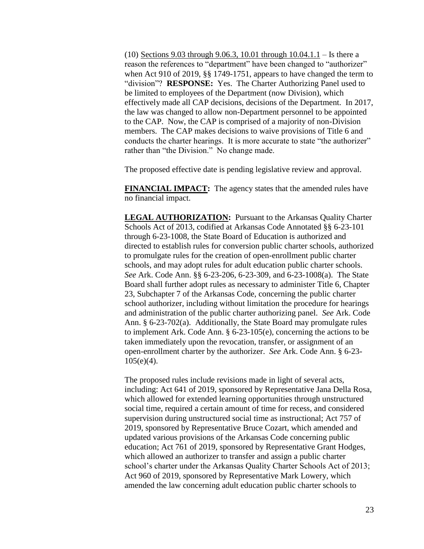(10) Sections 9.03 through 9.06.3, 10.01 through 10.04.1.1 – Is there a reason the references to "department" have been changed to "authorizer" when Act 910 of 2019, §§ 1749-1751, appears to have changed the term to "division"? **RESPONSE:** Yes. The Charter Authorizing Panel used to be limited to employees of the Department (now Division), which effectively made all CAP decisions, decisions of the Department. In 2017, the law was changed to allow non-Department personnel to be appointed to the CAP. Now, the CAP is comprised of a majority of non-Division members. The CAP makes decisions to waive provisions of Title 6 and conducts the charter hearings. It is more accurate to state "the authorizer" rather than "the Division." No change made.

The proposed effective date is pending legislative review and approval.

**FINANCIAL IMPACT:** The agency states that the amended rules have no financial impact.

**LEGAL AUTHORIZATION:** Pursuant to the Arkansas Quality Charter Schools Act of 2013, codified at Arkansas Code Annotated §§ 6-23-101 through 6-23-1008, the State Board of Education is authorized and directed to establish rules for conversion public charter schools, authorized to promulgate rules for the creation of open-enrollment public charter schools, and may adopt rules for adult education public charter schools. *See* Ark. Code Ann. §§ 6-23-206, 6-23-309, and 6-23-1008(a). The State Board shall further adopt rules as necessary to administer Title 6, Chapter 23, Subchapter 7 of the Arkansas Code, concerning the public charter school authorizer, including without limitation the procedure for hearings and administration of the public charter authorizing panel. *See* Ark. Code Ann. § 6-23-702(a). Additionally, the State Board may promulgate rules to implement Ark. Code Ann. § 6-23-105(e), concerning the actions to be taken immediately upon the revocation, transfer, or assignment of an open-enrollment charter by the authorizer. *See* Ark. Code Ann. § 6-23-  $105(e)(4)$ .

The proposed rules include revisions made in light of several acts, including: Act 641 of 2019, sponsored by Representative Jana Della Rosa, which allowed for extended learning opportunities through unstructured social time, required a certain amount of time for recess, and considered supervision during unstructured social time as instructional; Act 757 of 2019, sponsored by Representative Bruce Cozart, which amended and updated various provisions of the Arkansas Code concerning public education; Act 761 of 2019, sponsored by Representative Grant Hodges, which allowed an authorizer to transfer and assign a public charter school's charter under the Arkansas Quality Charter Schools Act of 2013; Act 960 of 2019, sponsored by Representative Mark Lowery, which amended the law concerning adult education public charter schools to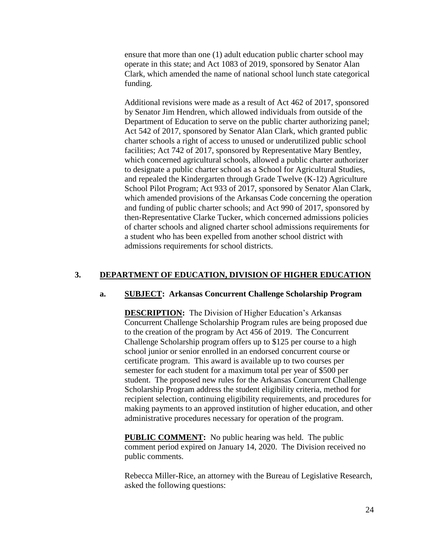ensure that more than one (1) adult education public charter school may operate in this state; and Act 1083 of 2019, sponsored by Senator Alan Clark, which amended the name of national school lunch state categorical funding.

Additional revisions were made as a result of Act 462 of 2017, sponsored by Senator Jim Hendren, which allowed individuals from outside of the Department of Education to serve on the public charter authorizing panel; Act 542 of 2017, sponsored by Senator Alan Clark, which granted public charter schools a right of access to unused or underutilized public school facilities; Act 742 of 2017, sponsored by Representative Mary Bentley, which concerned agricultural schools, allowed a public charter authorizer to designate a public charter school as a School for Agricultural Studies, and repealed the Kindergarten through Grade Twelve (K-12) Agriculture School Pilot Program; Act 933 of 2017, sponsored by Senator Alan Clark, which amended provisions of the Arkansas Code concerning the operation and funding of public charter schools; and Act 990 of 2017, sponsored by then-Representative Clarke Tucker, which concerned admissions policies of charter schools and aligned charter school admissions requirements for a student who has been expelled from another school district with admissions requirements for school districts.

# **3. DEPARTMENT OF EDUCATION, DIVISION OF HIGHER EDUCATION**

## **a. SUBJECT: Arkansas Concurrent Challenge Scholarship Program**

**DESCRIPTION:** The Division of Higher Education's Arkansas Concurrent Challenge Scholarship Program rules are being proposed due to the creation of the program by Act 456 of 2019. The Concurrent Challenge Scholarship program offers up to \$125 per course to a high school junior or senior enrolled in an endorsed concurrent course or certificate program. This award is available up to two courses per semester for each student for a maximum total per year of \$500 per student. The proposed new rules for the Arkansas Concurrent Challenge Scholarship Program address the student eligibility criteria, method for recipient selection, continuing eligibility requirements, and procedures for making payments to an approved institution of higher education, and other administrative procedures necessary for operation of the program.

**PUBLIC COMMENT:** No public hearing was held. The public comment period expired on January 14, 2020. The Division received no public comments.

Rebecca Miller-Rice, an attorney with the Bureau of Legislative Research, asked the following questions: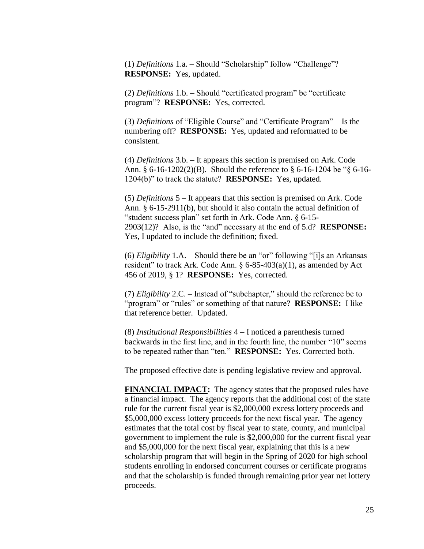(1) *Definitions* 1.a. – Should "Scholarship" follow "Challenge"? **RESPONSE:** Yes, updated.

(2) *Definitions* 1.b. – Should "certificated program" be "certificate program"? **RESPONSE:** Yes, corrected.

(3) *Definitions* of "Eligible Course" and "Certificate Program" – Is the numbering off? **RESPONSE:** Yes, updated and reformatted to be consistent.

(4) *Definitions* 3.b. – It appears this section is premised on Ark. Code Ann. § 6-16-1202(2)(B). Should the reference to § 6-16-1204 be "§ 6-16- 1204(b)" to track the statute? **RESPONSE:** Yes, updated.

(5) *Definitions* 5 – It appears that this section is premised on Ark. Code Ann. § 6-15-2911(b), but should it also contain the actual definition of "student success plan" set forth in Ark. Code Ann. § 6-15- 2903(12)? Also, is the "and" necessary at the end of 5.d? **RESPONSE:** Yes, I updated to include the definition; fixed.

(6) *Eligibility* 1.A. – Should there be an "or" following "[i]s an Arkansas resident" to track Ark. Code Ann.  $\S 6-85-403(a)(1)$ , as amended by Act 456 of 2019, § 1? **RESPONSE:** Yes, corrected.

(7) *Eligibility* 2.C. – Instead of "subchapter," should the reference be to "program" or "rules" or something of that nature? **RESPONSE:** I like that reference better. Updated.

(8) *Institutional Responsibilities* 4 – I noticed a parenthesis turned backwards in the first line, and in the fourth line, the number "10" seems to be repeated rather than "ten." **RESPONSE:** Yes. Corrected both.

The proposed effective date is pending legislative review and approval.

**FINANCIAL IMPACT:** The agency states that the proposed rules have a financial impact. The agency reports that the additional cost of the state rule for the current fiscal year is \$2,000,000 excess lottery proceeds and \$5,000,000 excess lottery proceeds for the next fiscal year. The agency estimates that the total cost by fiscal year to state, county, and municipal government to implement the rule is \$2,000,000 for the current fiscal year and \$5,000,000 for the next fiscal year, explaining that this is a new scholarship program that will begin in the Spring of 2020 for high school students enrolling in endorsed concurrent courses or certificate programs and that the scholarship is funded through remaining prior year net lottery proceeds.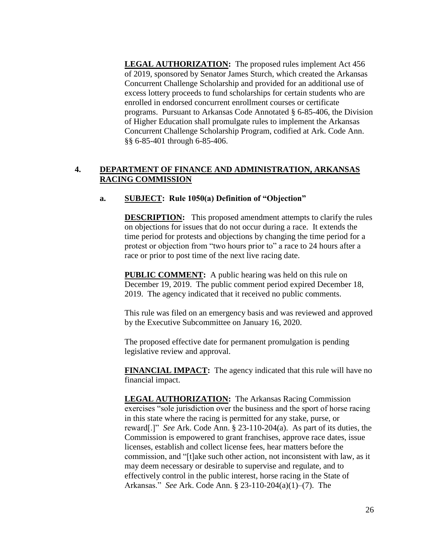LEGAL **AUTHORIZATION:** The proposed rules implement Act 456 of 2019, sponsored by Senator James Sturch, which created the Arkansas Concurrent Challenge Scholarship and provided for an additional use of excess lottery proceeds to fund scholarships for certain students who are enrolled in endorsed concurrent enrollment courses or certificate programs. Pursuant to Arkansas Code Annotated § 6-85-406, the Division of Higher Education shall promulgate rules to implement the Arkansas Concurrent Challenge Scholarship Program, codified at Ark. Code Ann. §§ 6-85-401 through 6-85-406.

## **4. DEPARTMENT OF FINANCE AND ADMINISTRATION, ARKANSAS RACING COMMISSION**

## **a. SUBJECT: Rule 1050(a) Definition of "Objection"**

**DESCRIPTION:** This proposed amendment attempts to clarify the rules on objections for issues that do not occur during a race. It extends the time period for protests and objections by changing the time period for a protest or objection from "two hours prior to" a race to 24 hours after a race or prior to post time of the next live racing date.

**PUBLIC COMMENT:** A public hearing was held on this rule on December 19, 2019. The public comment period expired December 18, 2019. The agency indicated that it received no public comments.

This rule was filed on an emergency basis and was reviewed and approved by the Executive Subcommittee on January 16, 2020.

The proposed effective date for permanent promulgation is pending legislative review and approval.

**FINANCIAL IMPACT:** The agency indicated that this rule will have no financial impact.

**LEGAL AUTHORIZATION:** The Arkansas Racing Commission exercises "sole jurisdiction over the business and the sport of horse racing in this state where the racing is permitted for any stake, purse, or reward[.]" *See* Ark. Code Ann. § 23-110-204(a). As part of its duties, the Commission is empowered to grant franchises, approve race dates, issue licenses, establish and collect license fees, hear matters before the commission, and "[t]ake such other action, not inconsistent with law, as it may deem necessary or desirable to supervise and regulate, and to effectively control in the public interest, horse racing in the State of Arkansas." *See* Ark. Code Ann. § 23-110-204(a)(1)–(7). The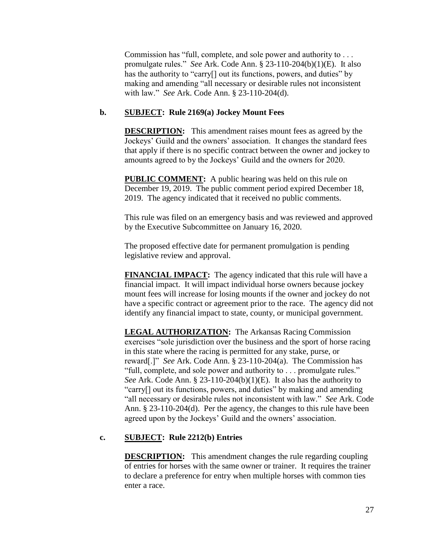Commission has "full, complete, and sole power and authority to . . . promulgate rules." *See* Ark. Code Ann. § 23-110-204(b)(1)(E). It also has the authority to "carry<sup>[]</sup> out its functions, powers, and duties" by making and amending "all necessary or desirable rules not inconsistent with law." *See* Ark. Code Ann. § 23-110-204(d).

# **b. SUBJECT: Rule 2169(a) Jockey Mount Fees**

**DESCRIPTION:** This amendment raises mount fees as agreed by the Jockeys' Guild and the owners' association. It changes the standard fees that apply if there is no specific contract between the owner and jockey to amounts agreed to by the Jockeys' Guild and the owners for 2020.

**PUBLIC COMMENT:** A public hearing was held on this rule on December 19, 2019. The public comment period expired December 18, 2019. The agency indicated that it received no public comments.

This rule was filed on an emergency basis and was reviewed and approved by the Executive Subcommittee on January 16, 2020.

The proposed effective date for permanent promulgation is pending legislative review and approval.

**FINANCIAL IMPACT:** The agency indicated that this rule will have a financial impact. It will impact individual horse owners because jockey mount fees will increase for losing mounts if the owner and jockey do not have a specific contract or agreement prior to the race. The agency did not identify any financial impact to state, county, or municipal government.

**LEGAL AUTHORIZATION:** The Arkansas Racing Commission exercises "sole jurisdiction over the business and the sport of horse racing in this state where the racing is permitted for any stake, purse, or reward[.]" *See* Ark. Code Ann. § 23-110-204(a). The Commission has "full, complete, and sole power and authority to . . . promulgate rules." *See* Ark. Code Ann. § 23-110-204(b)(1)(E). It also has the authority to "carry[] out its functions, powers, and duties" by making and amending "all necessary or desirable rules not inconsistent with law." *See* Ark. Code Ann. § 23-110-204(d). Per the agency, the changes to this rule have been agreed upon by the Jockeys' Guild and the owners' association.

## **c. SUBJECT: Rule 2212(b) Entries**

**DESCRIPTION:** This amendment changes the rule regarding coupling of entries for horses with the same owner or trainer. It requires the trainer to declare a preference for entry when multiple horses with common ties enter a race.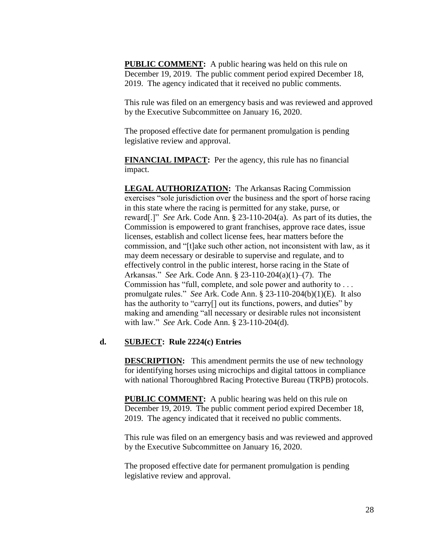**PUBLIC COMMENT:** A public hearing was held on this rule on December 19, 2019. The public comment period expired December 18, 2019. The agency indicated that it received no public comments.

This rule was filed on an emergency basis and was reviewed and approved by the Executive Subcommittee on January 16, 2020.

The proposed effective date for permanent promulgation is pending legislative review and approval.

**FINANCIAL IMPACT:** Per the agency, this rule has no financial impact.

**LEGAL AUTHORIZATION:** The Arkansas Racing Commission exercises "sole jurisdiction over the business and the sport of horse racing in this state where the racing is permitted for any stake, purse, or reward[.]" *See* Ark. Code Ann. § 23-110-204(a). As part of its duties, the Commission is empowered to grant franchises, approve race dates, issue licenses, establish and collect license fees, hear matters before the commission, and "[t]ake such other action, not inconsistent with law, as it may deem necessary or desirable to supervise and regulate, and to effectively control in the public interest, horse racing in the State of Arkansas." *See* Ark. Code Ann. § 23-110-204(a)(1)–(7). The Commission has "full, complete, and sole power and authority to . . . promulgate rules." *See* Ark. Code Ann. § 23-110-204(b)(1)(E). It also has the authority to "carry<sup>[]</sup> out its functions, powers, and duties" by making and amending "all necessary or desirable rules not inconsistent with law." *See* Ark. Code Ann. § 23-110-204(d).

### **d. SUBJECT: Rule 2224(c) Entries**

**DESCRIPTION:** This amendment permits the use of new technology for identifying horses using microchips and digital tattoos in compliance with national Thoroughbred Racing Protective Bureau (TRPB) protocols.

**PUBLIC COMMENT:** A public hearing was held on this rule on December 19, 2019. The public comment period expired December 18, 2019. The agency indicated that it received no public comments.

This rule was filed on an emergency basis and was reviewed and approved by the Executive Subcommittee on January 16, 2020.

The proposed effective date for permanent promulgation is pending legislative review and approval.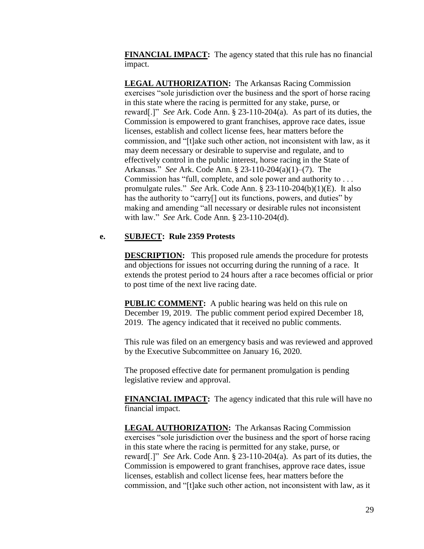**FINANCIAL IMPACT:** The agency stated that this rule has no financial impact.

**LEGAL AUTHORIZATION:** The Arkansas Racing Commission exercises "sole jurisdiction over the business and the sport of horse racing in this state where the racing is permitted for any stake, purse, or reward[.]" *See* Ark. Code Ann. § 23-110-204(a). As part of its duties, the Commission is empowered to grant franchises, approve race dates, issue licenses, establish and collect license fees, hear matters before the commission, and "[t]ake such other action, not inconsistent with law, as it may deem necessary or desirable to supervise and regulate, and to effectively control in the public interest, horse racing in the State of Arkansas." *See* Ark. Code Ann. § 23-110-204(a)(1)–(7). The Commission has "full, complete, and sole power and authority to . . . promulgate rules." *See* Ark. Code Ann. § 23-110-204(b)(1)(E). It also has the authority to "carry<sup>[]</sup> out its functions, powers, and duties" by making and amending "all necessary or desirable rules not inconsistent with law." *See* Ark. Code Ann. § 23-110-204(d).

## **e. SUBJECT: Rule 2359 Protests**

**DESCRIPTION:** This proposed rule amends the procedure for protests and objections for issues not occurring during the running of a race. It extends the protest period to 24 hours after a race becomes official or prior to post time of the next live racing date.

**PUBLIC COMMENT:** A public hearing was held on this rule on December 19, 2019. The public comment period expired December 18, 2019. The agency indicated that it received no public comments.

This rule was filed on an emergency basis and was reviewed and approved by the Executive Subcommittee on January 16, 2020.

The proposed effective date for permanent promulgation is pending legislative review and approval.

**FINANCIAL IMPACT:** The agency indicated that this rule will have no financial impact.

**LEGAL AUTHORIZATION:** The Arkansas Racing Commission exercises "sole jurisdiction over the business and the sport of horse racing in this state where the racing is permitted for any stake, purse, or reward[.]" *See* Ark. Code Ann. § 23-110-204(a). As part of its duties, the Commission is empowered to grant franchises, approve race dates, issue licenses, establish and collect license fees, hear matters before the commission, and "[t]ake such other action, not inconsistent with law, as it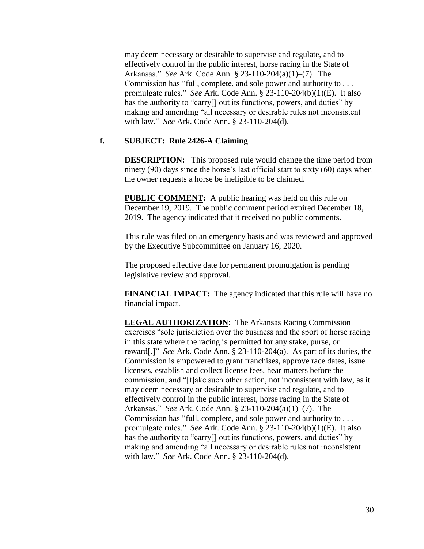may deem necessary or desirable to supervise and regulate, and to effectively control in the public interest, horse racing in the State of Arkansas." *See* Ark. Code Ann. § 23-110-204(a)(1)–(7). The Commission has "full, complete, and sole power and authority to . . . promulgate rules." *See* Ark. Code Ann. § 23-110-204(b)(1)(E). It also has the authority to "carry<sup>[]</sup> out its functions, powers, and duties" by making and amending "all necessary or desirable rules not inconsistent with law." *See* Ark. Code Ann. § 23-110-204(d).

## **f. SUBJECT: Rule 2426-A Claiming**

**DESCRIPTION:** This proposed rule would change the time period from ninety (90) days since the horse's last official start to sixty (60) days when the owner requests a horse be ineligible to be claimed.

**PUBLIC COMMENT:** A public hearing was held on this rule on December 19, 2019. The public comment period expired December 18, 2019. The agency indicated that it received no public comments.

This rule was filed on an emergency basis and was reviewed and approved by the Executive Subcommittee on January 16, 2020.

The proposed effective date for permanent promulgation is pending legislative review and approval.

**FINANCIAL IMPACT:** The agency indicated that this rule will have no financial impact.

**LEGAL AUTHORIZATION:** The Arkansas Racing Commission exercises "sole jurisdiction over the business and the sport of horse racing in this state where the racing is permitted for any stake, purse, or reward[.]" *See* Ark. Code Ann. § 23-110-204(a). As part of its duties, the Commission is empowered to grant franchises, approve race dates, issue licenses, establish and collect license fees, hear matters before the commission, and "[t]ake such other action, not inconsistent with law, as it may deem necessary or desirable to supervise and regulate, and to effectively control in the public interest, horse racing in the State of Arkansas." *See* Ark. Code Ann. § 23-110-204(a)(1)–(7). The Commission has "full, complete, and sole power and authority to . . . promulgate rules." *See* Ark. Code Ann. § 23-110-204(b)(1)(E). It also has the authority to "carry<sup>[]</sup> out its functions, powers, and duties" by making and amending "all necessary or desirable rules not inconsistent with law." *See* Ark. Code Ann. § 23-110-204(d).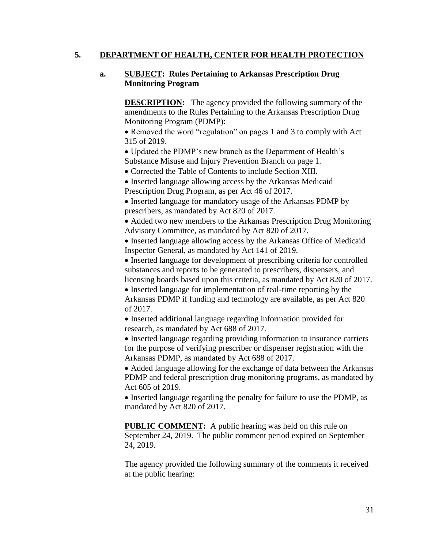## **5. DEPARTMENT OF HEALTH, CENTER FOR HEALTH PROTECTION**

## **a. SUBJECT: Rules Pertaining to Arkansas Prescription Drug Monitoring Program**

**DESCRIPTION:** The agency provided the following summary of the amendments to the Rules Pertaining to the Arkansas Prescription Drug Monitoring Program (PDMP):

 Removed the word "regulation" on pages 1 and 3 to comply with Act 315 of 2019.

 Updated the PDMP's new branch as the Department of Health's Substance Misuse and Injury Prevention Branch on page 1.

Corrected the Table of Contents to include Section XIII.

• Inserted language allowing access by the Arkansas Medicaid

Prescription Drug Program, as per Act 46 of 2017.

• Inserted language for mandatory usage of the Arkansas PDMP by prescribers, as mandated by Act 820 of 2017.

• Added two new members to the Arkansas Prescription Drug Monitoring Advisory Committee, as mandated by Act 820 of 2017.

• Inserted language allowing access by the Arkansas Office of Medicaid Inspector General, as mandated by Act 141 of 2019.

 Inserted language for development of prescribing criteria for controlled substances and reports to be generated to prescribers, dispensers, and licensing boards based upon this criteria, as mandated by Act 820 of 2017.

• Inserted language for implementation of real-time reporting by the Arkansas PDMP if funding and technology are available, as per Act 820 of 2017.

• Inserted additional language regarding information provided for research, as mandated by Act 688 of 2017.

 Inserted language regarding providing information to insurance carriers for the purpose of verifying prescriber or dispenser registration with the Arkansas PDMP, as mandated by Act 688 of 2017.

• Added language allowing for the exchange of data between the Arkansas PDMP and federal prescription drug monitoring programs, as mandated by Act 605 of 2019.

 Inserted language regarding the penalty for failure to use the PDMP, as mandated by Act 820 of 2017.

**PUBLIC COMMENT:** A public hearing was held on this rule on September 24, 2019. The public comment period expired on September 24, 2019.

The agency provided the following summary of the comments it received at the public hearing: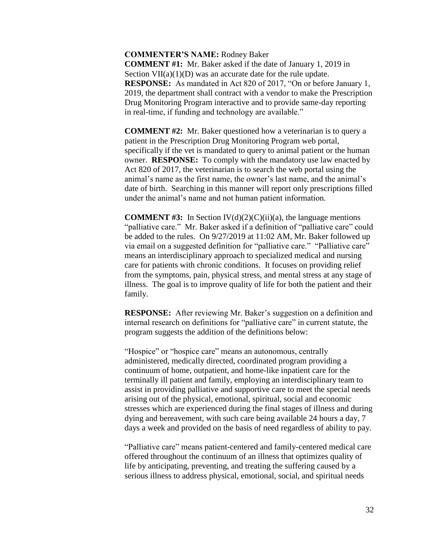### **COMMENTER'S NAME:** Rodney Baker

**COMMENT #1:** Mr. Baker asked if the date of January 1, 2019 in Section  $VII(a)(1)(D)$  was an accurate date for the rule update. **RESPONSE:** As mandated in Act 820 of 2017, "On or before January 1, 2019, the department shall contract with a vendor to make the Prescription Drug Monitoring Program interactive and to provide same-day reporting in real-time, if funding and technology are available."

**COMMENT #2:** Mr. Baker questioned how a veterinarian is to query a patient in the Prescription Drug Monitoring Program web portal, specifically if the vet is mandated to query to animal patient or the human owner. **RESPONSE:** To comply with the mandatory use law enacted by Act 820 of 2017, the veterinarian is to search the web portal using the animal's name as the first name, the owner's last name, and the animal's date of birth. Searching in this manner will report only prescriptions filled under the animal's name and not human patient information.

**COMMENT #3:** In Section  $IV(d)(2)(C)(ii)(a)$ , the language mentions "palliative care." Mr. Baker asked if a definition of "palliative care" could be added to the rules. On 9/27/2019 at 11:02 AM, Mr. Baker followed up via email on a suggested definition for "palliative care." "Palliative care" means an interdisciplinary approach to specialized medical and nursing care for patients with chronic conditions. It focuses on providing relief from the symptoms, pain, physical stress, and mental stress at any stage of illness. The goal is to improve quality of life for both the patient and their family.

**RESPONSE:** After reviewing Mr. Baker's suggestion on a definition and internal research on definitions for "palliative care" in current statute, the program suggests the addition of the definitions below:

"Hospice" or "hospice care" means an autonomous, centrally administered, medically directed, coordinated program providing a continuum of home, outpatient, and home-like inpatient care for the terminally ill patient and family, employing an interdisciplinary team to assist in providing palliative and supportive care to meet the special needs arising out of the physical, emotional, spiritual, social and economic stresses which are experienced during the final stages of illness and during dying and bereavement, with such care being available 24 hours a day, 7 days a week and provided on the basis of need regardless of ability to pay.

"Palliative care" means patient-centered and family-centered medical care offered throughout the continuum of an illness that optimizes quality of life by anticipating, preventing, and treating the suffering caused by a serious illness to address physical, emotional, social, and spiritual needs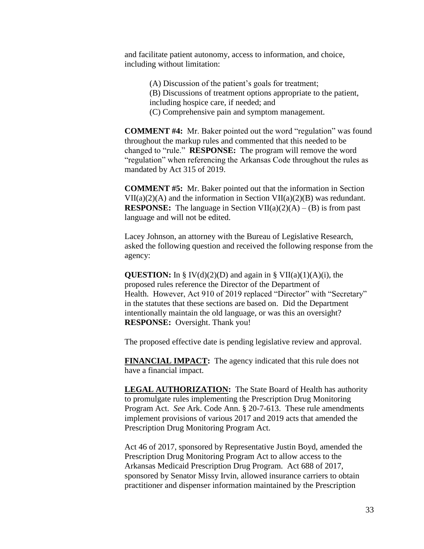and facilitate patient autonomy, access to information, and choice, including without limitation:

> (A) Discussion of the patient's goals for treatment; (B) Discussions of treatment options appropriate to the patient, including hospice care, if needed; and (C) Comprehensive pain and symptom management.

**COMMENT #4:** Mr. Baker pointed out the word "regulation" was found throughout the markup rules and commented that this needed to be changed to "rule." **RESPONSE:** The program will remove the word "regulation" when referencing the Arkansas Code throughout the rules as mandated by Act 315 of 2019.

**COMMENT #5:** Mr. Baker pointed out that the information in Section  $VII(a)(2)(A)$  and the information in Section  $VII(a)(2)(B)$  was redundant. **RESPONSE:** The language in Section VII(a)(2)(A) – (B) is from past language and will not be edited.

Lacey Johnson, an attorney with the Bureau of Legislative Research, asked the following question and received the following response from the agency:

**QUESTION:** In § IV(d)(2)(D) and again in § VII(a)(1)(A)(i), the proposed rules reference the Director of the Department of Health. However, Act 910 of 2019 replaced "Director" with "Secretary" in the statutes that these sections are based on. Did the Department intentionally maintain the old language, or was this an oversight? **RESPONSE:** Oversight. Thank you!

The proposed effective date is pending legislative review and approval.

**FINANCIAL IMPACT:** The agency indicated that this rule does not have a financial impact.

**LEGAL AUTHORIZATION:** The State Board of Health has authority to promulgate rules implementing the Prescription Drug Monitoring Program Act. *See* Ark. Code Ann. § 20-7-613. These rule amendments implement provisions of various 2017 and 2019 acts that amended the Prescription Drug Monitoring Program Act.

Act 46 of 2017, sponsored by Representative Justin Boyd, amended the Prescription Drug Monitoring Program Act to allow access to the Arkansas Medicaid Prescription Drug Program. Act 688 of 2017, sponsored by Senator Missy Irvin, allowed insurance carriers to obtain practitioner and dispenser information maintained by the Prescription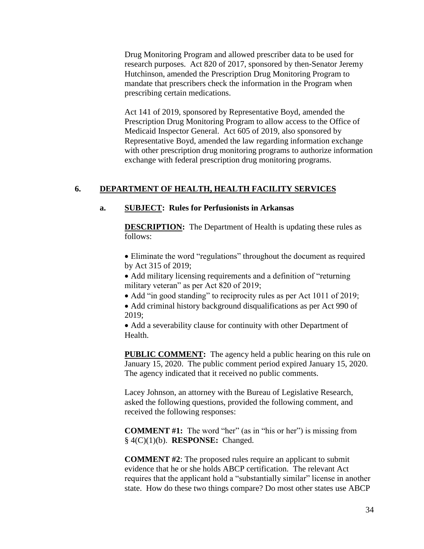Drug Monitoring Program and allowed prescriber data to be used for research purposes. Act 820 of 2017, sponsored by then-Senator Jeremy Hutchinson, amended the Prescription Drug Monitoring Program to mandate that prescribers check the information in the Program when prescribing certain medications.

Act 141 of 2019, sponsored by Representative Boyd, amended the Prescription Drug Monitoring Program to allow access to the Office of Medicaid Inspector General. Act 605 of 2019, also sponsored by Representative Boyd, amended the law regarding information exchange with other prescription drug monitoring programs to authorize information exchange with federal prescription drug monitoring programs.

### **6. DEPARTMENT OF HEALTH, HEALTH FACILITY SERVICES**

### **a. SUBJECT: Rules for Perfusionists in Arkansas**

**DESCRIPTION:** The Department of Health is updating these rules as follows:

 Eliminate the word "regulations" throughout the document as required by Act 315 of 2019;

 Add military licensing requirements and a definition of "returning military veteran" as per Act 820 of 2019;

• Add "in good standing" to reciprocity rules as per Act 1011 of 2019;

• Add criminal history background disqualifications as per Act 990 of 2019;

 Add a severability clause for continuity with other Department of Health.

**PUBLIC COMMENT:** The agency held a public hearing on this rule on January 15, 2020. The public comment period expired January 15, 2020. The agency indicated that it received no public comments.

Lacey Johnson, an attorney with the Bureau of Legislative Research, asked the following questions, provided the following comment, and received the following responses:

**COMMENT #1:** The word "her" (as in "his or her") is missing from § 4(C)(1)(b). **RESPONSE:** Changed.

**COMMENT #2**: The proposed rules require an applicant to submit evidence that he or she holds ABCP certification. The relevant Act requires that the applicant hold a "substantially similar" license in another state. How do these two things compare? Do most other states use ABCP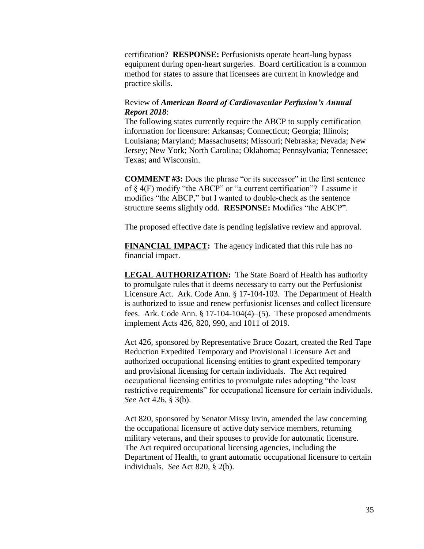certification? **RESPONSE:** Perfusionists operate heart-lung bypass equipment during open-heart surgeries. Board certification is a common method for states to assure that licensees are current in knowledge and practice skills.

## Review of *American Board of Cardiovascular Perfusion's Annual Report 2018*:

The following states currently require the ABCP to supply certification information for licensure: Arkansas; Connecticut; Georgia; Illinois; Louisiana; Maryland; Massachusetts; Missouri; Nebraska; Nevada; New Jersey; New York; North Carolina; Oklahoma; Pennsylvania; Tennessee; Texas; and Wisconsin.

**COMMENT #3:** Does the phrase "or its successor" in the first sentence of § 4(F) modify "the ABCP" or "a current certification"? I assume it modifies "the ABCP," but I wanted to double-check as the sentence structure seems slightly odd. **RESPONSE:** Modifies "the ABCP".

The proposed effective date is pending legislative review and approval.

**FINANCIAL IMPACT:** The agency indicated that this rule has no financial impact.

**LEGAL AUTHORIZATION:** The State Board of Health has authority to promulgate rules that it deems necessary to carry out the Perfusionist Licensure Act. Ark. Code Ann. § 17-104-103. The Department of Health is authorized to issue and renew perfusionist licenses and collect licensure fees. Ark. Code Ann.  $\S 17-104-104(4)-(5)$ . These proposed amendments implement Acts 426, 820, 990, and 1011 of 2019.

Act 426, sponsored by Representative Bruce Cozart, created the Red Tape Reduction Expedited Temporary and Provisional Licensure Act and authorized occupational licensing entities to grant expedited temporary and provisional licensing for certain individuals. The Act required occupational licensing entities to promulgate rules adopting "the least restrictive requirements" for occupational licensure for certain individuals. *See* Act 426, § 3(b).

Act 820, sponsored by Senator Missy Irvin, amended the law concerning the occupational licensure of active duty service members, returning military veterans, and their spouses to provide for automatic licensure. The Act required occupational licensing agencies, including the Department of Health, to grant automatic occupational licensure to certain individuals. *See* Act 820, § 2(b).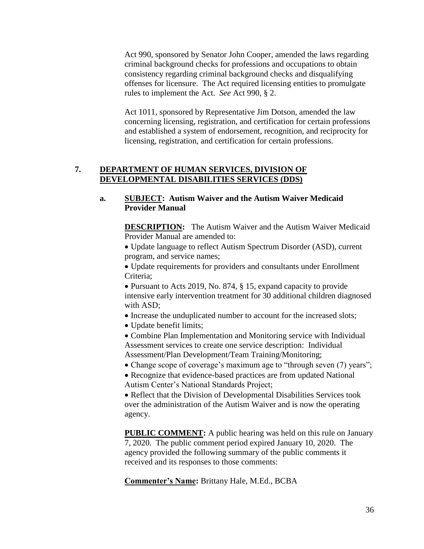Act 990, sponsored by Senator John Cooper, amended the laws regarding criminal background checks for professions and occupations to obtain consistency regarding criminal background checks and disqualifying offenses for licensure. The Act required licensing entities to promulgate rules to implement the Act. *See* Act 990, § 2.

Act 1011, sponsored by Representative Jim Dotson, amended the law concerning licensing, registration, and certification for certain professions and established a system of endorsement, recognition, and reciprocity for licensing, registration, and certification for certain professions.

### **7. DEPARTMENT OF HUMAN SERVICES, DIVISION OF DEVELOPMENTAL DISABILITIES SERVICES (DDS)**

## **a. SUBJECT: Autism Waiver and the Autism Waiver Medicaid Provider Manual**

**DESCRIPTION:** The Autism Waiver and the Autism Waiver Medicaid Provider Manual are amended to:

 Update language to reflect Autism Spectrum Disorder (ASD), current program, and service names;

 Update requirements for providers and consultants under Enrollment Criteria;

 Pursuant to Acts 2019, No. 874, § 15, expand capacity to provide intensive early intervention treatment for 30 additional children diagnosed with ASD;

- Increase the unduplicated number to account for the increased slots;
- Update benefit limits;

 Combine Plan Implementation and Monitoring service with Individual Assessment services to create one service description: Individual Assessment/Plan Development/Team Training/Monitoring;

• Change scope of coverage's maximum age to "through seven (7) years";

• Recognize that evidence-based practices are from updated National Autism Center's National Standards Project;

 Reflect that the Division of Developmental Disabilities Services took over the administration of the Autism Waiver and is now the operating agency.

**PUBLIC COMMENT:** A public hearing was held on this rule on January 7, 2020. The public comment period expired January 10, 2020. The agency provided the following summary of the public comments it received and its responses to those comments:

**Commenter's Name:** Brittany Hale, M.Ed., BCBA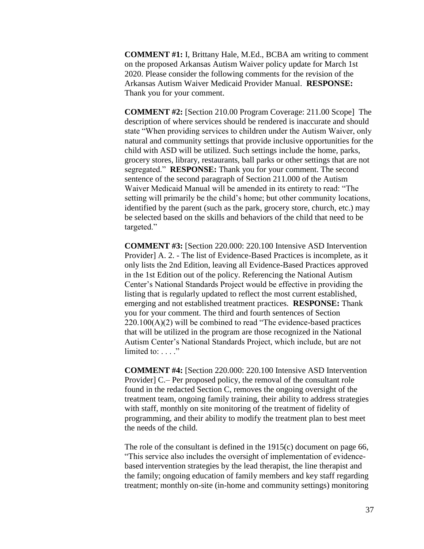**COMMENT #1:** I, Brittany Hale, M.Ed., BCBA am writing to comment on the proposed Arkansas Autism Waiver policy update for March 1st 2020. Please consider the following comments for the revision of the Arkansas Autism Waiver Medicaid Provider Manual. **RESPONSE:** Thank you for your comment.

**COMMENT #2:** [Section 210.00 Program Coverage: 211.00 Scope] The description of where services should be rendered is inaccurate and should state "When providing services to children under the Autism Waiver, only natural and community settings that provide inclusive opportunities for the child with ASD will be utilized. Such settings include the home, parks, grocery stores, library, restaurants, ball parks or other settings that are not segregated." **RESPONSE:** Thank you for your comment. The second sentence of the second paragraph of Section 211.000 of the Autism Waiver Medicaid Manual will be amended in its entirety to read: "The setting will primarily be the child's home; but other community locations, identified by the parent (such as the park, grocery store, church, etc.) may be selected based on the skills and behaviors of the child that need to be targeted."

**COMMENT #3:** [Section 220.000: 220.100 Intensive ASD Intervention Provider] A. 2. - The list of Evidence-Based Practices is incomplete, as it only lists the 2nd Edition, leaving all Evidence-Based Practices approved in the 1st Edition out of the policy. Referencing the National Autism Center's National Standards Project would be effective in providing the listing that is regularly updated to reflect the most current established, emerging and not established treatment practices. **RESPONSE:** Thank you for your comment. The third and fourth sentences of Section  $220.100(A)(2)$  will be combined to read "The evidence-based practices" that will be utilized in the program are those recognized in the National Autism Center's National Standards Project, which include, but are not limited to:  $\dots$ ."

**COMMENT #4:** [Section 220.000: 220.100 Intensive ASD Intervention Provider] C.– Per proposed policy, the removal of the consultant role found in the redacted Section C, removes the ongoing oversight of the treatment team, ongoing family training, their ability to address strategies with staff, monthly on site monitoring of the treatment of fidelity of programming, and their ability to modify the treatment plan to best meet the needs of the child.

The role of the consultant is defined in the 1915(c) document on page 66, "This service also includes the oversight of implementation of evidencebased intervention strategies by the lead therapist, the line therapist and the family; ongoing education of family members and key staff regarding treatment; monthly on-site (in-home and community settings) monitoring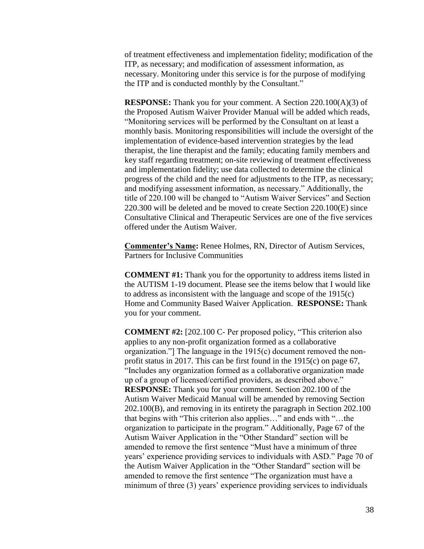of treatment effectiveness and implementation fidelity; modification of the ITP, as necessary; and modification of assessment information, as necessary. Monitoring under this service is for the purpose of modifying the ITP and is conducted monthly by the Consultant."

**RESPONSE:** Thank you for your comment. A Section 220.100(A)(3) of the Proposed Autism Waiver Provider Manual will be added which reads, "Monitoring services will be performed by the Consultant on at least a monthly basis. Monitoring responsibilities will include the oversight of the implementation of evidence-based intervention strategies by the lead therapist, the line therapist and the family; educating family members and key staff regarding treatment; on-site reviewing of treatment effectiveness and implementation fidelity; use data collected to determine the clinical progress of the child and the need for adjustments to the ITP, as necessary; and modifying assessment information, as necessary." Additionally, the title of 220.100 will be changed to "Autism Waiver Services" and Section 220.300 will be deleted and be moved to create Section 220.100(E) since Consultative Clinical and Therapeutic Services are one of the five services offered under the Autism Waiver.

**Commenter's Name:** Renee Holmes, RN, Director of Autism Services, Partners for Inclusive Communities

**COMMENT #1:** Thank you for the opportunity to address items listed in the AUTISM 1-19 document. Please see the items below that I would like to address as inconsistent with the language and scope of the 1915(c) Home and Community Based Waiver Application. **RESPONSE:** Thank you for your comment.

**COMMENT #2:** [202.100 C- Per proposed policy, "This criterion also applies to any non-profit organization formed as a collaborative organization."] The language in the 1915(c) document removed the nonprofit status in 2017. This can be first found in the 1915(c) on page 67, "Includes any organization formed as a collaborative organization made up of a group of licensed/certified providers, as described above." **RESPONSE:** Thank you for your comment. Section 202.100 of the Autism Waiver Medicaid Manual will be amended by removing Section 202.100(B), and removing in its entirety the paragraph in Section 202.100 that begins with "This criterion also applies…" and ends with "…the organization to participate in the program." Additionally, Page 67 of the Autism Waiver Application in the "Other Standard" section will be amended to remove the first sentence "Must have a minimum of three years' experience providing services to individuals with ASD." Page 70 of the Autism Waiver Application in the "Other Standard" section will be amended to remove the first sentence "The organization must have a minimum of three (3) years' experience providing services to individuals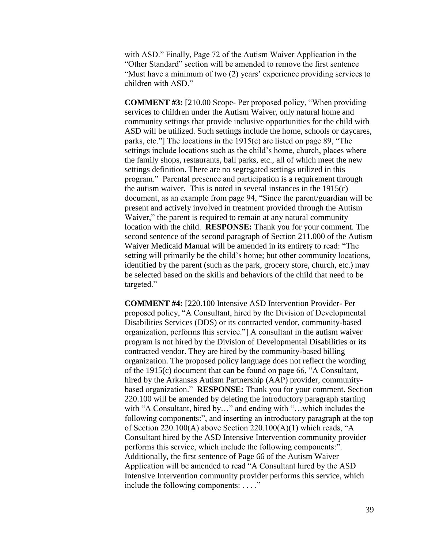with ASD." Finally, Page 72 of the Autism Waiver Application in the "Other Standard" section will be amended to remove the first sentence "Must have a minimum of two (2) years' experience providing services to children with ASD."

**COMMENT #3:** [210.00 Scope- Per proposed policy, "When providing services to children under the Autism Waiver, only natural home and community settings that provide inclusive opportunities for the child with ASD will be utilized. Such settings include the home, schools or daycares, parks, etc."] The locations in the 1915(c) are listed on page 89, "The settings include locations such as the child's home, church, places where the family shops, restaurants, ball parks, etc., all of which meet the new settings definition. There are no segregated settings utilized in this program." Parental presence and participation is a requirement through the autism waiver. This is noted in several instances in the 1915(c) document, as an example from page 94, "Since the parent/guardian will be present and actively involved in treatment provided through the Autism Waiver," the parent is required to remain at any natural community location with the child. **RESPONSE:** Thank you for your comment. The second sentence of the second paragraph of Section 211.000 of the Autism Waiver Medicaid Manual will be amended in its entirety to read: "The setting will primarily be the child's home; but other community locations, identified by the parent (such as the park, grocery store, church, etc.) may be selected based on the skills and behaviors of the child that need to be targeted."

**COMMENT #4:** [220.100 Intensive ASD Intervention Provider- Per proposed policy, "A Consultant, hired by the Division of Developmental Disabilities Services (DDS) or its contracted vendor, community-based organization, performs this service."] A consultant in the autism waiver program is not hired by the Division of Developmental Disabilities or its contracted vendor. They are hired by the community-based billing organization. The proposed policy language does not reflect the wording of the 1915(c) document that can be found on page 66, "A Consultant, hired by the Arkansas Autism Partnership (AAP) provider, communitybased organization." **RESPONSE:** Thank you for your comment. Section 220.100 will be amended by deleting the introductory paragraph starting with "A Consultant, hired by..." and ending with "...which includes the following components:", and inserting an introductory paragraph at the top of Section 220.100(A) above Section 220.100(A)(1) which reads, "A Consultant hired by the ASD Intensive Intervention community provider performs this service, which include the following components:". Additionally, the first sentence of Page 66 of the Autism Waiver Application will be amended to read "A Consultant hired by the ASD Intensive Intervention community provider performs this service, which include the following components: . . . ."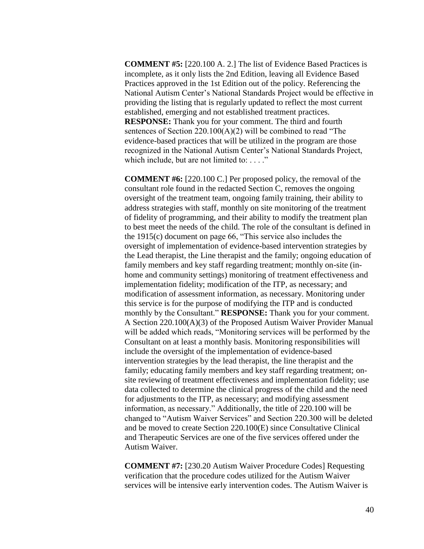**COMMENT #5:** [220.100 A. 2.] The list of Evidence Based Practices is incomplete, as it only lists the 2nd Edition, leaving all Evidence Based Practices approved in the 1st Edition out of the policy. Referencing the National Autism Center's National Standards Project would be effective in providing the listing that is regularly updated to reflect the most current established, emerging and not established treatment practices. **RESPONSE:** Thank you for your comment. The third and fourth sentences of Section 220.100(A)(2) will be combined to read "The evidence-based practices that will be utilized in the program are those recognized in the National Autism Center's National Standards Project, which include, but are not limited to: . . . ."

**COMMENT #6:** [220.100 C.] Per proposed policy, the removal of the consultant role found in the redacted Section C, removes the ongoing oversight of the treatment team, ongoing family training, their ability to address strategies with staff, monthly on site monitoring of the treatment of fidelity of programming, and their ability to modify the treatment plan to best meet the needs of the child. The role of the consultant is defined in the 1915(c) document on page 66, "This service also includes the oversight of implementation of evidence-based intervention strategies by the Lead therapist, the Line therapist and the family; ongoing education of family members and key staff regarding treatment; monthly on-site (inhome and community settings) monitoring of treatment effectiveness and implementation fidelity; modification of the ITP, as necessary; and modification of assessment information, as necessary. Monitoring under this service is for the purpose of modifying the ITP and is conducted monthly by the Consultant." **RESPONSE:** Thank you for your comment. A Section 220.100(A)(3) of the Proposed Autism Waiver Provider Manual will be added which reads, "Monitoring services will be performed by the Consultant on at least a monthly basis. Monitoring responsibilities will include the oversight of the implementation of evidence-based intervention strategies by the lead therapist, the line therapist and the family; educating family members and key staff regarding treatment; onsite reviewing of treatment effectiveness and implementation fidelity; use data collected to determine the clinical progress of the child and the need for adjustments to the ITP, as necessary; and modifying assessment information, as necessary." Additionally, the title of 220.100 will be changed to "Autism Waiver Services" and Section 220.300 will be deleted and be moved to create Section 220.100(E) since Consultative Clinical and Therapeutic Services are one of the five services offered under the Autism Waiver.

**COMMENT #7:** [230.20 Autism Waiver Procedure Codes] Requesting verification that the procedure codes utilized for the Autism Waiver services will be intensive early intervention codes. The Autism Waiver is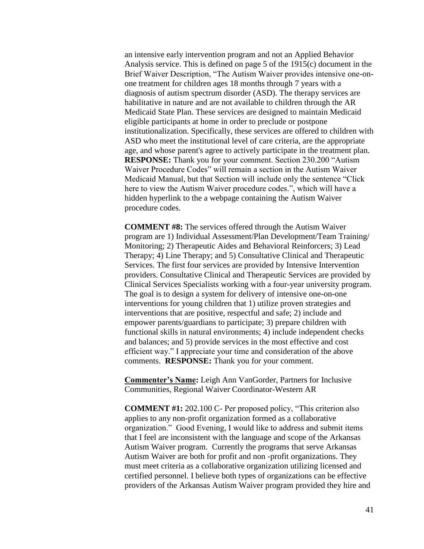an intensive early intervention program and not an Applied Behavior Analysis service. This is defined on page 5 of the 1915(c) document in the Brief Waiver Description, "The Autism Waiver provides intensive one-onone treatment for children ages 18 months through 7 years with a diagnosis of autism spectrum disorder (ASD). The therapy services are habilitative in nature and are not available to children through the AR Medicaid State Plan. These services are designed to maintain Medicaid eligible participants at home in order to preclude or postpone institutionalization. Specifically, these services are offered to children with ASD who meet the institutional level of care criteria, are the appropriate age, and whose parent's agree to actively participate in the treatment plan. **RESPONSE:** Thank you for your comment. Section 230.200 "Autism Waiver Procedure Codes" will remain a section in the Autism Waiver Medicaid Manual, but that Section will include only the sentence "Click here to view the Autism Waiver procedure codes.", which will have a hidden hyperlink to the a webpage containing the Autism Waiver procedure codes.

**COMMENT #8:** The services offered through the Autism Waiver program are 1) Individual Assessment/Plan Development/Team Training/ Monitoring; 2) Therapeutic Aides and Behavioral Reinforcers; 3) Lead Therapy; 4) Line Therapy; and 5) Consultative Clinical and Therapeutic Services. The first four services are provided by Intensive Intervention providers. Consultative Clinical and Therapeutic Services are provided by Clinical Services Specialists working with a four-year university program. The goal is to design a system for delivery of intensive one-on-one interventions for young children that 1) utilize proven strategies and interventions that are positive, respectful and safe; 2) include and empower parents/guardians to participate; 3) prepare children with functional skills in natural environments; 4) include independent checks and balances; and 5) provide services in the most effective and cost efficient way." I appreciate your time and consideration of the above comments. **RESPONSE:** Thank you for your comment.

**Commenter's Name:** Leigh Ann VanGorder, Partners for Inclusive Communities, Regional Waiver Coordinator-Western AR

**COMMENT #1:** 202.100 C- Per proposed policy, "This criterion also applies to any non-profit organization formed as a collaborative organization." Good Evening, I would like to address and submit items that I feel are inconsistent with the language and scope of the Arkansas Autism Waiver program. Currently the programs that serve Arkansas Autism Waiver are both for profit and non -profit organizations. They must meet criteria as a collaborative organization utilizing licensed and certified personnel. I believe both types of organizations can be effective providers of the Arkansas Autism Waiver program provided they hire and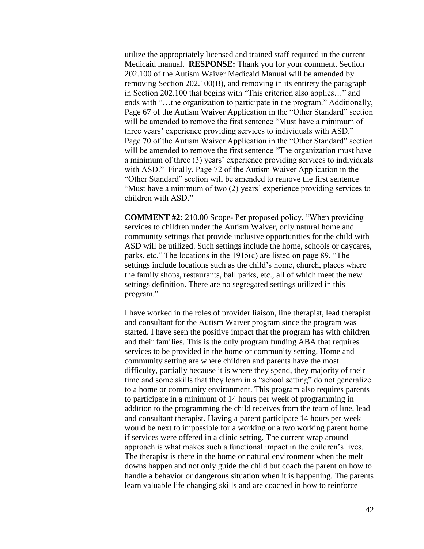utilize the appropriately licensed and trained staff required in the current Medicaid manual. **RESPONSE:** Thank you for your comment. Section 202.100 of the Autism Waiver Medicaid Manual will be amended by removing Section 202.100(B), and removing in its entirety the paragraph in Section 202.100 that begins with "This criterion also applies…" and ends with "…the organization to participate in the program." Additionally, Page 67 of the Autism Waiver Application in the "Other Standard" section will be amended to remove the first sentence "Must have a minimum of three years' experience providing services to individuals with ASD." Page 70 of the Autism Waiver Application in the "Other Standard" section will be amended to remove the first sentence "The organization must have a minimum of three (3) years' experience providing services to individuals with ASD." Finally, Page 72 of the Autism Waiver Application in the "Other Standard" section will be amended to remove the first sentence "Must have a minimum of two (2) years' experience providing services to children with ASD."

**COMMENT #2:** 210.00 Scope- Per proposed policy, "When providing services to children under the Autism Waiver, only natural home and community settings that provide inclusive opportunities for the child with ASD will be utilized. Such settings include the home, schools or daycares, parks, etc." The locations in the 1915(c) are listed on page 89, "The settings include locations such as the child's home, church, places where the family shops, restaurants, ball parks, etc., all of which meet the new settings definition. There are no segregated settings utilized in this program."

I have worked in the roles of provider liaison, line therapist, lead therapist and consultant for the Autism Waiver program since the program was started. I have seen the positive impact that the program has with children and their families. This is the only program funding ABA that requires services to be provided in the home or community setting. Home and community setting are where children and parents have the most difficulty, partially because it is where they spend, they majority of their time and some skills that they learn in a "school setting" do not generalize to a home or community environment. This program also requires parents to participate in a minimum of 14 hours per week of programming in addition to the programming the child receives from the team of line, lead and consultant therapist. Having a parent participate 14 hours per week would be next to impossible for a working or a two working parent home if services were offered in a clinic setting. The current wrap around approach is what makes such a functional impact in the children's lives. The therapist is there in the home or natural environment when the melt downs happen and not only guide the child but coach the parent on how to handle a behavior or dangerous situation when it is happening. The parents learn valuable life changing skills and are coached in how to reinforce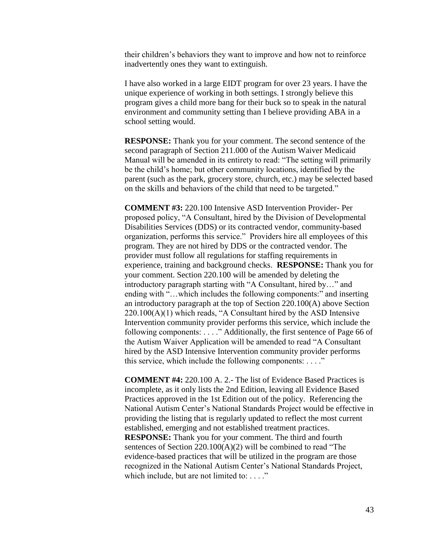their children's behaviors they want to improve and how not to reinforce inadvertently ones they want to extinguish.

I have also worked in a large EIDT program for over 23 years. I have the unique experience of working in both settings. I strongly believe this program gives a child more bang for their buck so to speak in the natural environment and community setting than I believe providing ABA in a school setting would.

**RESPONSE:** Thank you for your comment. The second sentence of the second paragraph of Section 211.000 of the Autism Waiver Medicaid Manual will be amended in its entirety to read: "The setting will primarily be the child's home; but other community locations, identified by the parent (such as the park, grocery store, church, etc.) may be selected based on the skills and behaviors of the child that need to be targeted."

**COMMENT #3:** 220.100 Intensive ASD Intervention Provider- Per proposed policy, "A Consultant, hired by the Division of Developmental Disabilities Services (DDS) or its contracted vendor, community-based organization, performs this service." Providers hire all employees of this program. They are not hired by DDS or the contracted vendor. The provider must follow all regulations for staffing requirements in experience, training and background checks. **RESPONSE:** Thank you for your comment. Section 220.100 will be amended by deleting the introductory paragraph starting with "A Consultant, hired by…" and ending with "…which includes the following components:" and inserting an introductory paragraph at the top of Section 220.100(A) above Section  $220.100(A)(1)$  which reads, "A Consultant hired by the ASD Intensive Intervention community provider performs this service, which include the following components: . . . ." Additionally, the first sentence of Page 66 of the Autism Waiver Application will be amended to read "A Consultant hired by the ASD Intensive Intervention community provider performs this service, which include the following components:  $\dots$ ."

**COMMENT #4:** 220.100 A. 2.- The list of Evidence Based Practices is incomplete, as it only lists the 2nd Edition, leaving all Evidence Based Practices approved in the 1st Edition out of the policy. Referencing the National Autism Center's National Standards Project would be effective in providing the listing that is regularly updated to reflect the most current established, emerging and not established treatment practices. **RESPONSE:** Thank you for your comment. The third and fourth sentences of Section 220.100(A)(2) will be combined to read "The evidence-based practices that will be utilized in the program are those recognized in the National Autism Center's National Standards Project, which include, but are not limited to: . . . ."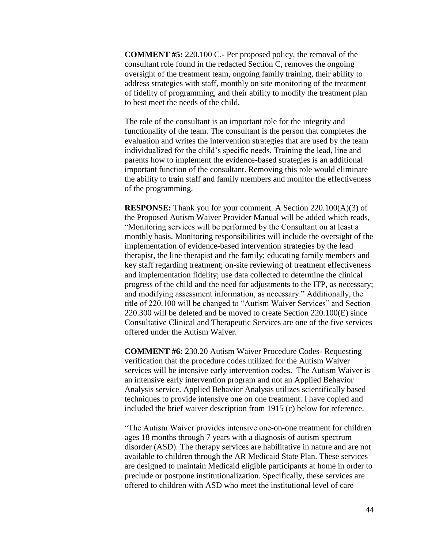**COMMENT #5:** 220.100 C.- Per proposed policy, the removal of the consultant role found in the redacted Section C, removes the ongoing oversight of the treatment team, ongoing family training, their ability to address strategies with staff, monthly on site monitoring of the treatment of fidelity of programming, and their ability to modify the treatment plan to best meet the needs of the child.

The role of the consultant is an important role for the integrity and functionality of the team. The consultant is the person that completes the evaluation and writes the intervention strategies that are used by the team individualized for the child's specific needs. Training the lead, line and parents how to implement the evidence-based strategies is an additional important function of the consultant. Removing this role would eliminate the ability to train staff and family members and monitor the effectiveness of the programming.

**RESPONSE:** Thank you for your comment. A Section 220.100(A)(3) of the Proposed Autism Waiver Provider Manual will be added which reads, "Monitoring services will be performed by the Consultant on at least a monthly basis. Monitoring responsibilities will include the oversight of the implementation of evidence-based intervention strategies by the lead therapist, the line therapist and the family; educating family members and key staff regarding treatment; on-site reviewing of treatment effectiveness and implementation fidelity; use data collected to determine the clinical progress of the child and the need for adjustments to the ITP, as necessary; and modifying assessment information, as necessary." Additionally, the title of 220.100 will be changed to "Autism Waiver Services" and Section 220.300 will be deleted and be moved to create Section 220.100(E) since Consultative Clinical and Therapeutic Services are one of the five services offered under the Autism Waiver.

**COMMENT #6:** 230.20 Autism Waiver Procedure Codes- Requesting verification that the procedure codes utilized for the Autism Waiver services will be intensive early intervention codes. The Autism Waiver is an intensive early intervention program and not an Applied Behavior Analysis service. Applied Behavior Analysis utilizes scientifically based techniques to provide intensive one on one treatment. I have copied and included the brief waiver description from 1915 (c) below for reference.

"The Autism Waiver provides intensive one-on-one treatment for children ages 18 months through 7 years with a diagnosis of autism spectrum disorder (ASD). The therapy services are habilitative in nature and are not available to children through the AR Medicaid State Plan. These services are designed to maintain Medicaid eligible participants at home in order to preclude or postpone institutionalization. Specifically, these services are offered to children with ASD who meet the institutional level of care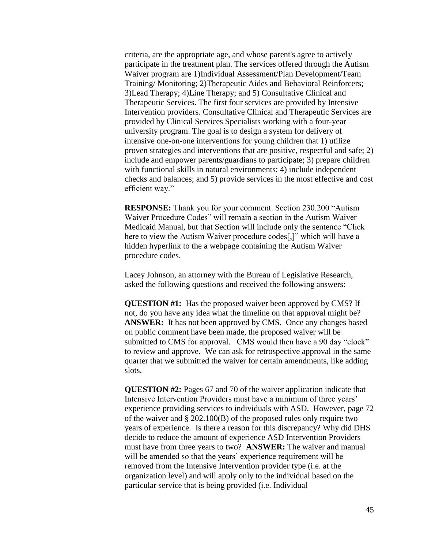criteria, are the appropriate age, and whose parent's agree to actively participate in the treatment plan. The services offered through the Autism Waiver program are 1)Individual Assessment/Plan Development/Team Training/ Monitoring; 2)Therapeutic Aides and Behavioral Reinforcers; 3)Lead Therapy; 4)Line Therapy; and 5) Consultative Clinical and Therapeutic Services. The first four services are provided by Intensive Intervention providers. Consultative Clinical and Therapeutic Services are provided by Clinical Services Specialists working with a four-year university program. The goal is to design a system for delivery of intensive one-on-one interventions for young children that 1) utilize proven strategies and interventions that are positive, respectful and safe; 2) include and empower parents/guardians to participate; 3) prepare children with functional skills in natural environments; 4) include independent checks and balances; and 5) provide services in the most effective and cost efficient way."

**RESPONSE:** Thank you for your comment. Section 230.200 "Autism Waiver Procedure Codes" will remain a section in the Autism Waiver Medicaid Manual, but that Section will include only the sentence "Click here to view the Autism Waiver procedure codes[,]" which will have a hidden hyperlink to the a webpage containing the Autism Waiver procedure codes.

Lacey Johnson, an attorney with the Bureau of Legislative Research, asked the following questions and received the following answers:

**QUESTION #1:** Has the proposed waiver been approved by CMS? If not, do you have any idea what the timeline on that approval might be? **ANSWER:** It has not been approved by CMS. Once any changes based on public comment have been made, the proposed waiver will be submitted to CMS for approval. CMS would then have a 90 day "clock" to review and approve. We can ask for retrospective approval in the same quarter that we submitted the waiver for certain amendments, like adding slots.

**QUESTION #2:** Pages 67 and 70 of the waiver application indicate that Intensive Intervention Providers must have a minimum of three years' experience providing services to individuals with ASD. However, page 72 of the waiver and § 202.100(B) of the proposed rules only require two years of experience. Is there a reason for this discrepancy? Why did DHS decide to reduce the amount of experience ASD Intervention Providers must have from three years to two? **ANSWER:** The waiver and manual will be amended so that the years' experience requirement will be removed from the Intensive Intervention provider type (i.e. at the organization level) and will apply only to the individual based on the particular service that is being provided (i.e. Individual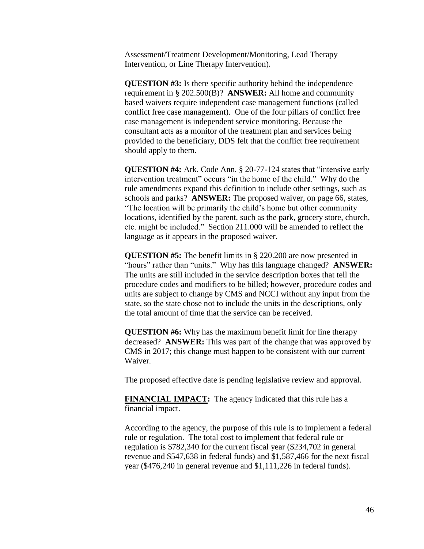Assessment/Treatment Development/Monitoring, Lead Therapy Intervention, or Line Therapy Intervention).

**QUESTION #3:** Is there specific authority behind the independence requirement in § 202.500(B)? **ANSWER:** All home and community based waivers require independent case management functions (called conflict free case management). One of the four pillars of conflict free case management is independent service monitoring. Because the consultant acts as a monitor of the treatment plan and services being provided to the beneficiary, DDS felt that the conflict free requirement should apply to them.

**QUESTION #4:** Ark. Code Ann. § 20-77-124 states that "intensive early intervention treatment" occurs "in the home of the child." Why do the rule amendments expand this definition to include other settings, such as schools and parks? **ANSWER:** The proposed waiver, on page 66, states, "The location will be primarily the child's home but other community locations, identified by the parent, such as the park, grocery store, church, etc. might be included." Section 211.000 will be amended to reflect the language as it appears in the proposed waiver.

**QUESTION #5:** The benefit limits in § 220.200 are now presented in "hours" rather than "units." Why has this language changed? **ANSWER:** The units are still included in the service description boxes that tell the procedure codes and modifiers to be billed; however, procedure codes and units are subject to change by CMS and NCCI without any input from the state, so the state chose not to include the units in the descriptions, only the total amount of time that the service can be received.

**QUESTION #6:** Why has the maximum benefit limit for line therapy decreased? **ANSWER:** This was part of the change that was approved by CMS in 2017; this change must happen to be consistent with our current Waiver.

The proposed effective date is pending legislative review and approval.

**FINANCIAL IMPACT:** The agency indicated that this rule has a financial impact.

According to the agency, the purpose of this rule is to implement a federal rule or regulation. The total cost to implement that federal rule or regulation is \$782,340 for the current fiscal year (\$234,702 in general revenue and \$547,638 in federal funds) and \$1,587,466 for the next fiscal year (\$476,240 in general revenue and \$1,111,226 in federal funds).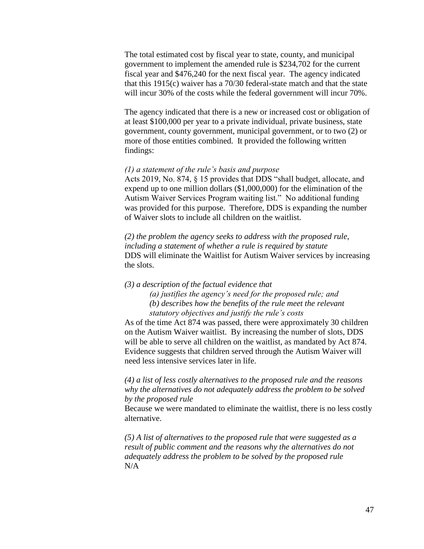The total estimated cost by fiscal year to state, county, and municipal government to implement the amended rule is \$234,702 for the current fiscal year and \$476,240 for the next fiscal year. The agency indicated that this 1915(c) waiver has a 70/30 federal-state match and that the state will incur 30% of the costs while the federal government will incur 70%.

The agency indicated that there is a new or increased cost or obligation of at least \$100,000 per year to a private individual, private business, state government, county government, municipal government, or to two (2) or more of those entities combined. It provided the following written findings:

#### *(1) a statement of the rule's basis and purpose*

Acts 2019, No. 874, § 15 provides that DDS "shall budget, allocate, and expend up to one million dollars (\$1,000,000) for the elimination of the Autism Waiver Services Program waiting list." No additional funding was provided for this purpose. Therefore, DDS is expanding the number of Waiver slots to include all children on the waitlist.

*(2) the problem the agency seeks to address with the proposed rule, including a statement of whether a rule is required by statute* DDS will eliminate the Waitlist for Autism Waiver services by increasing the slots.

*(3) a description of the factual evidence that (a) justifies the agency's need for the proposed rule; and (b) describes how the benefits of the rule meet the relevant statutory objectives and justify the rule's costs*

As of the time Act 874 was passed, there were approximately 30 children on the Autism Waiver waitlist. By increasing the number of slots, DDS will be able to serve all children on the waitlist, as mandated by Act 874. Evidence suggests that children served through the Autism Waiver will need less intensive services later in life.

*(4) a list of less costly alternatives to the proposed rule and the reasons why the alternatives do not adequately address the problem to be solved by the proposed rule*

Because we were mandated to eliminate the waitlist, there is no less costly alternative.

*(5) A list of alternatives to the proposed rule that were suggested as a result of public comment and the reasons why the alternatives do not adequately address the problem to be solved by the proposed rule* N/A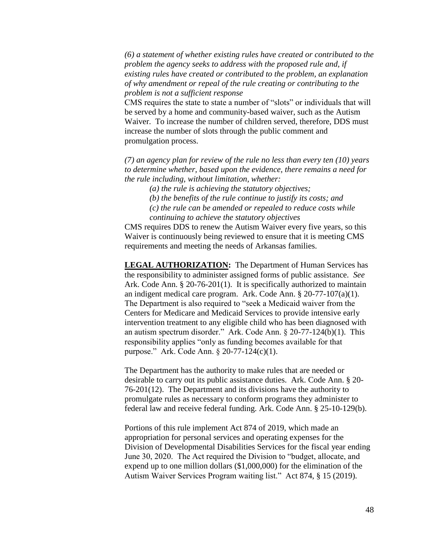*(6) a statement of whether existing rules have created or contributed to the problem the agency seeks to address with the proposed rule and, if existing rules have created or contributed to the problem, an explanation of why amendment or repeal of the rule creating or contributing to the problem is not a sufficient response*

CMS requires the state to state a number of "slots" or individuals that will be served by a home and community-based waiver, such as the Autism Waiver. To increase the number of children served, therefore, DDS must increase the number of slots through the public comment and promulgation process.

*(7) an agency plan for review of the rule no less than every ten (10) years to determine whether, based upon the evidence, there remains a need for the rule including, without limitation, whether:* 

*(a) the rule is achieving the statutory objectives;*

*(b) the benefits of the rule continue to justify its costs; and*

*(c) the rule can be amended or repealed to reduce costs while* 

*continuing to achieve the statutory objectives*

CMS requires DDS to renew the Autism Waiver every five years, so this Waiver is continuously being reviewed to ensure that it is meeting CMS requirements and meeting the needs of Arkansas families.

**LEGAL AUTHORIZATION:** The Department of Human Services has the responsibility to administer assigned forms of public assistance. *See* Ark. Code Ann. § 20-76-201(1). It is specifically authorized to maintain an indigent medical care program. Ark. Code Ann. § 20-77-107(a)(1). The Department is also required to "seek a Medicaid waiver from the Centers for Medicare and Medicaid Services to provide intensive early intervention treatment to any eligible child who has been diagnosed with an autism spectrum disorder." Ark. Code Ann. § 20-77-124(b)(1). This responsibility applies "only as funding becomes available for that purpose." Ark. Code Ann. § 20-77-124(c)(1).

The Department has the authority to make rules that are needed or desirable to carry out its public assistance duties. Ark. Code Ann. § 20- 76-201(12). The Department and its divisions have the authority to promulgate rules as necessary to conform programs they administer to federal law and receive federal funding. Ark. Code Ann. § 25-10-129(b).

Portions of this rule implement Act 874 of 2019, which made an appropriation for personal services and operating expenses for the Division of Developmental Disabilities Services for the fiscal year ending June 30, 2020. The Act required the Division to "budget, allocate, and expend up to one million dollars (\$1,000,000) for the elimination of the Autism Waiver Services Program waiting list." Act 874, § 15 (2019).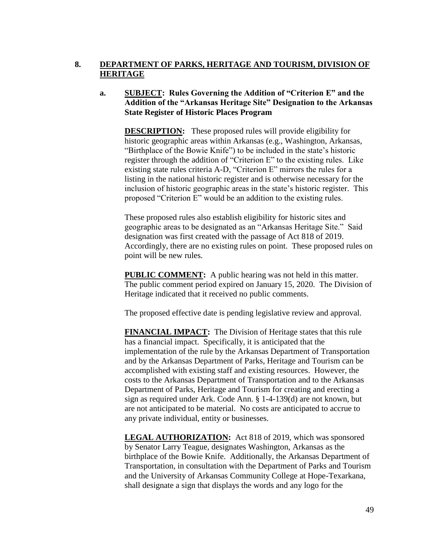# **8. DEPARTMENT OF PARKS, HERITAGE AND TOURISM, DIVISION OF HERITAGE**

## **a. SUBJECT: Rules Governing the Addition of "Criterion E" and the Addition of the "Arkansas Heritage Site" Designation to the Arkansas State Register of Historic Places Program**

**DESCRIPTION:** These proposed rules will provide eligibility for historic geographic areas within Arkansas (e.g., Washington, Arkansas, "Birthplace of the Bowie Knife") to be included in the state's historic register through the addition of "Criterion E" to the existing rules. Like existing state rules criteria A-D, "Criterion E" mirrors the rules for a listing in the national historic register and is otherwise necessary for the inclusion of historic geographic areas in the state's historic register. This proposed "Criterion E" would be an addition to the existing rules.

These proposed rules also establish eligibility for historic sites and geographic areas to be designated as an "Arkansas Heritage Site." Said designation was first created with the passage of Act 818 of 2019. Accordingly, there are no existing rules on point. These proposed rules on point will be new rules.

**PUBLIC COMMENT:** A public hearing was not held in this matter. The public comment period expired on January 15, 2020. The Division of Heritage indicated that it received no public comments.

The proposed effective date is pending legislative review and approval.

**FINANCIAL IMPACT:** The Division of Heritage states that this rule has a financial impact. Specifically, it is anticipated that the implementation of the rule by the Arkansas Department of Transportation and by the Arkansas Department of Parks, Heritage and Tourism can be accomplished with existing staff and existing resources. However, the costs to the Arkansas Department of Transportation and to the Arkansas Department of Parks, Heritage and Tourism for creating and erecting a sign as required under Ark. Code Ann. § 1-4-139(d) are not known, but are not anticipated to be material. No costs are anticipated to accrue to any private individual, entity or businesses.

**LEGAL AUTHORIZATION:** Act 818 of 2019, which was sponsored by Senator Larry Teague, designates Washington, Arkansas as the birthplace of the Bowie Knife. Additionally, the Arkansas Department of Transportation, in consultation with the Department of Parks and Tourism and the University of Arkansas Community College at Hope-Texarkana, shall designate a sign that displays the words and any logo for the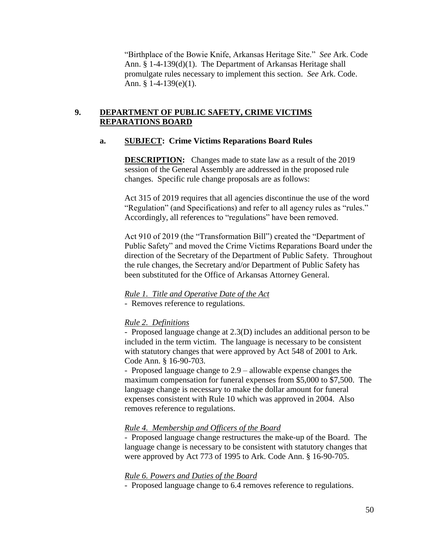"Birthplace of the Bowie Knife, Arkansas Heritage Site." *See* Ark. Code Ann. § 1-4-139(d)(1). The Department of Arkansas Heritage shall promulgate rules necessary to implement this section. *See* Ark. Code. Ann. § 1-4-139(e)(1).

## **9. DEPARTMENT OF PUBLIC SAFETY, CRIME VICTIMS REPARATIONS BOARD**

## **a. SUBJECT: Crime Victims Reparations Board Rules**

**DESCRIPTION:** Changes made to state law as a result of the 2019 session of the General Assembly are addressed in the proposed rule changes. Specific rule change proposals are as follows:

Act 315 of 2019 requires that all agencies discontinue the use of the word "Regulation" (and Specifications) and refer to all agency rules as "rules." Accordingly, all references to "regulations" have been removed.

Act 910 of 2019 (the "Transformation Bill") created the "Department of Public Safety" and moved the Crime Victims Reparations Board under the direction of the Secretary of the Department of Public Safety. Throughout the rule changes, the Secretary and/or Department of Public Safety has been substituted for the Office of Arkansas Attorney General.

# *Rule 1. Title and Operative Date of the Act*

- Removes reference to regulations.

# *Rule 2. Definitions*

- Proposed language change at 2.3(D) includes an additional person to be included in the term victim. The language is necessary to be consistent with statutory changes that were approved by Act 548 of 2001 to Ark. Code Ann. § 16-90-703.

- Proposed language change to 2.9 – allowable expense changes the maximum compensation for funeral expenses from \$5,000 to \$7,500. The language change is necessary to make the dollar amount for funeral expenses consistent with Rule 10 which was approved in 2004. Also removes reference to regulations.

# *Rule 4. Membership and Officers of the Board*

- Proposed language change restructures the make-up of the Board. The language change is necessary to be consistent with statutory changes that were approved by Act 773 of 1995 to Ark. Code Ann. § 16-90-705.

# *Rule 6. Powers and Duties of the Board*

- Proposed language change to 6.4 removes reference to regulations.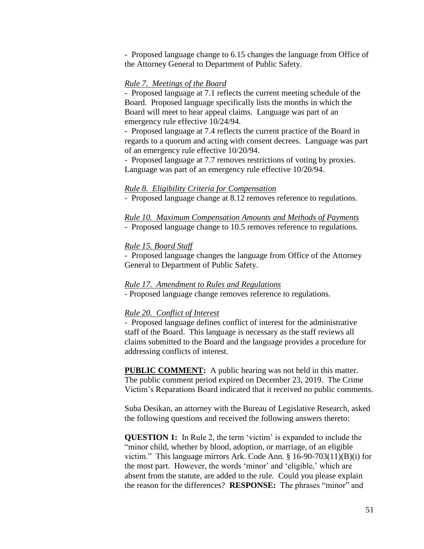- Proposed language change to 6.15 changes the language from Office of the Attorney General to Department of Public Safety.

### *Rule 7. Meetings of the Board*

- Proposed language at 7.1 reflects the current meeting schedule of the Board. Proposed language specifically lists the months in which the Board will meet to hear appeal claims. Language was part of an emergency rule effective 10/24/94.

- Proposed language at 7.4 reflects the current practice of the Board in regards to a quorum and acting with consent decrees. Language was part of an emergency rule effective 10/20/94.

- Proposed language at 7.7 removes restrictions of voting by proxies. Language was part of an emergency rule effective 10/20/94.

#### *Rule 8. Eligibility Criteria for Compensation*

- Proposed language change at 8.12 removes reference to regulations.

# *Rule 10. Maximum Compensation Amounts and Methods of Payments*

- Proposed language change to 10.5 removes reference to regulations.

### *Rule 15. Board Staff*

- Proposed language changes the language from Office of the Attorney General to Department of Public Safety.

#### *Rule 17. Amendment to Rules and Regulations*

- Proposed language change removes reference to regulations.

#### *Rule 20. Conflict of Interest*

- Proposed language defines conflict of interest for the administrative staff of the Board. This language is necessary as the staff reviews all claims submitted to the Board and the language provides a procedure for addressing conflicts of interest.

**PUBLIC COMMENT:** A public hearing was not held in this matter. The public comment period expired on December 23, 2019. The Crime Victim's Reparations Board indicated that it received no public comments.

Suba Desikan, an attorney with the Bureau of Legislative Research, asked the following questions and received the following answers thereto:

**QUESTION 1:** In Rule 2, the term 'victim' is expanded to include the "minor child, whether by blood, adoption, or marriage, of an eligible victim." This language mirrors Ark. Code Ann. § 16-90-703(11)(B)(i) for the most part. However, the words 'minor' and 'eligible,' which are absent from the statute, are added to the rule. Could you please explain the reason for the differences? **RESPONSE:** The phrases "minor" and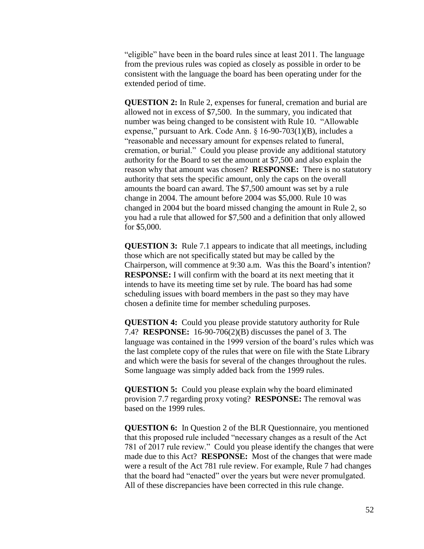"eligible" have been in the board rules since at least 2011. The language from the previous rules was copied as closely as possible in order to be consistent with the language the board has been operating under for the extended period of time.

**QUESTION 2:** In Rule 2, expenses for funeral, cremation and burial are allowed not in excess of \$7,500. In the summary, you indicated that number was being changed to be consistent with Rule 10. "Allowable expense," pursuant to Ark. Code Ann. § 16-90-703(1)(B), includes a "reasonable and necessary amount for expenses related to funeral, cremation, or burial." Could you please provide any additional statutory authority for the Board to set the amount at \$7,500 and also explain the reason why that amount was chosen? **RESPONSE:** There is no statutory authority that sets the specific amount, only the caps on the overall amounts the board can award. The \$7,500 amount was set by a rule change in 2004. The amount before 2004 was \$5,000. Rule 10 was changed in 2004 but the board missed changing the amount in Rule 2, so you had a rule that allowed for \$7,500 and a definition that only allowed for \$5,000.

**QUESTION 3:** Rule 7.1 appears to indicate that all meetings, including those which are not specifically stated but may be called by the Chairperson, will commence at 9:30 a.m. Was this the Board's intention? **RESPONSE:** I will confirm with the board at its next meeting that it intends to have its meeting time set by rule. The board has had some scheduling issues with board members in the past so they may have chosen a definite time for member scheduling purposes.

**QUESTION 4:** Could you please provide statutory authority for Rule 7.4? **RESPONSE:** 16-90-706(2)(B) discusses the panel of 3. The language was contained in the 1999 version of the board's rules which was the last complete copy of the rules that were on file with the State Library and which were the basis for several of the changes throughout the rules. Some language was simply added back from the 1999 rules.

**QUESTION 5:** Could you please explain why the board eliminated provision 7.7 regarding proxy voting? **RESPONSE:** The removal was based on the 1999 rules.

**QUESTION 6:** In Question 2 of the BLR Questionnaire, you mentioned that this proposed rule included "necessary changes as a result of the Act 781 of 2017 rule review." Could you please identify the changes that were made due to this Act? **RESPONSE:** Most of the changes that were made were a result of the Act 781 rule review. For example, Rule 7 had changes that the board had "enacted" over the years but were never promulgated. All of these discrepancies have been corrected in this rule change.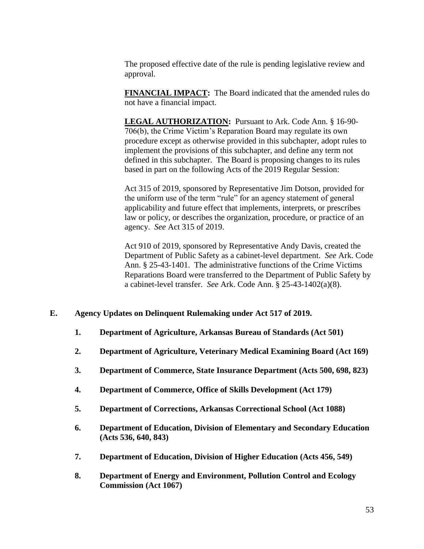The proposed effective date of the rule is pending legislative review and approval.

**FINANCIAL IMPACT:** The Board indicated that the amended rules do not have a financial impact.

**LEGAL AUTHORIZATION:** Pursuant to Ark. Code Ann. § 16-90- 706(b), the Crime Victim's Reparation Board may regulate its own procedure except as otherwise provided in this subchapter, adopt rules to implement the provisions of this subchapter, and define any term not defined in this subchapter. The Board is proposing changes to its rules based in part on the following Acts of the 2019 Regular Session:

Act 315 of 2019, sponsored by Representative Jim Dotson, provided for the uniform use of the term "rule" for an agency statement of general applicability and future effect that implements, interprets, or prescribes law or policy, or describes the organization, procedure, or practice of an agency. *See* Act 315 of 2019.

Act 910 of 2019, sponsored by Representative Andy Davis, created the Department of Public Safety as a cabinet-level department. *See* Ark. Code Ann. § 25-43-1401. The administrative functions of the Crime Victims Reparations Board were transferred to the Department of Public Safety by a cabinet-level transfer. *See* Ark. Code Ann. § 25-43-1402(a)(8).

## **E. Agency Updates on Delinquent Rulemaking under Act 517 of 2019.**

- **1. Department of Agriculture, Arkansas Bureau of Standards (Act 501)**
- **2. Department of Agriculture, Veterinary Medical Examining Board (Act 169)**
- **3. Department of Commerce, State Insurance Department (Acts 500, 698, 823)**
- **4. Department of Commerce, Office of Skills Development (Act 179)**
- **5. Department of Corrections, Arkansas Correctional School (Act 1088)**
- **6. Department of Education, Division of Elementary and Secondary Education (Acts 536, 640, 843)**
- **7. Department of Education, Division of Higher Education (Acts 456, 549)**
- **8. Department of Energy and Environment, Pollution Control and Ecology Commission (Act 1067)**